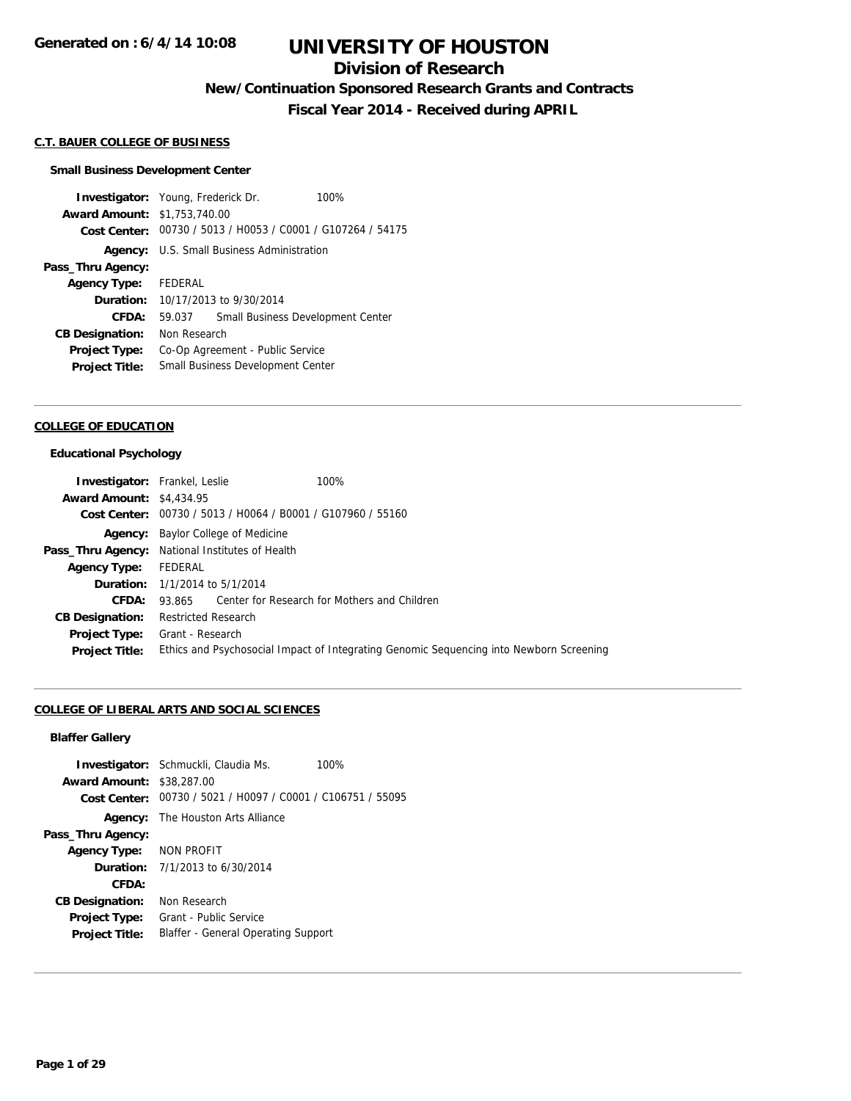### **Division of Research**

**New/Continuation Sponsored Research Grants and Contracts**

**Fiscal Year 2014 - Received during APRIL**

#### **C.T. BAUER COLLEGE OF BUSINESS**

#### **Small Business Development Center**

**Investigator:** Young, Frederick Dr. 100% **Award Amount:** \$1,753,740.00 **Cost Center:** 00730 / 5013 / H0053 / C0001 / G107264 / 54175 **Agency:** U.S. Small Business Administration **Pass\_Thru Agency: Agency Type:** FEDERAL **Duration:** 10/17/2013 to 9/30/2014 **CFDA:** 59.037 Small Business Development Center **CB Designation:** Non Research **Project Type:** Co-Op Agreement - Public Service **Project Title:** Small Business Development Center

#### **COLLEGE OF EDUCATION**

#### **Educational Psychology**

|                                 | <b>Investigator:</b> Frankel, Leslie                        | 100%                                                                                    |  |
|---------------------------------|-------------------------------------------------------------|-----------------------------------------------------------------------------------------|--|
| <b>Award Amount: \$4,434.95</b> |                                                             |                                                                                         |  |
|                                 | Cost Center: 00730 / 5013 / H0064 / B0001 / G107960 / 55160 |                                                                                         |  |
|                                 | <b>Agency:</b> Baylor College of Medicine                   |                                                                                         |  |
|                                 | <b>Pass_Thru Agency:</b> National Institutes of Health      |                                                                                         |  |
| <b>Agency Type:</b>             | FEDERAL                                                     |                                                                                         |  |
|                                 | <b>Duration:</b> 1/1/2014 to 5/1/2014                       |                                                                                         |  |
| CFDA:                           | 93.865 Center for Research for Mothers and Children         |                                                                                         |  |
| <b>CB Designation:</b>          | <b>Restricted Research</b>                                  |                                                                                         |  |
| <b>Project Type:</b>            | Grant - Research                                            |                                                                                         |  |
| <b>Project Title:</b>           |                                                             | Ethics and Psychosocial Impact of Integrating Genomic Sequencing into Newborn Screening |  |

#### **COLLEGE OF LIBERAL ARTS AND SOCIAL SCIENCES**

#### **Blaffer Gallery**

|                                  | <b>Investigator:</b> Schmuckli, Claudia Ms.                 | 100% |
|----------------------------------|-------------------------------------------------------------|------|
| <b>Award Amount: \$38,287.00</b> |                                                             |      |
|                                  | Cost Center: 00730 / 5021 / H0097 / C0001 / C106751 / 55095 |      |
|                                  | <b>Agency:</b> The Houston Arts Alliance                    |      |
| Pass_Thru Agency:                |                                                             |      |
| Agency Type: NON PROFIT          |                                                             |      |
|                                  | <b>Duration:</b> $7/1/2013$ to $6/30/2014$                  |      |
| CFDA:                            |                                                             |      |
| <b>CB Designation:</b>           | Non Research                                                |      |
| <b>Project Type:</b>             | Grant - Public Service                                      |      |
| <b>Project Title:</b>            | Blaffer - General Operating Support                         |      |
|                                  |                                                             |      |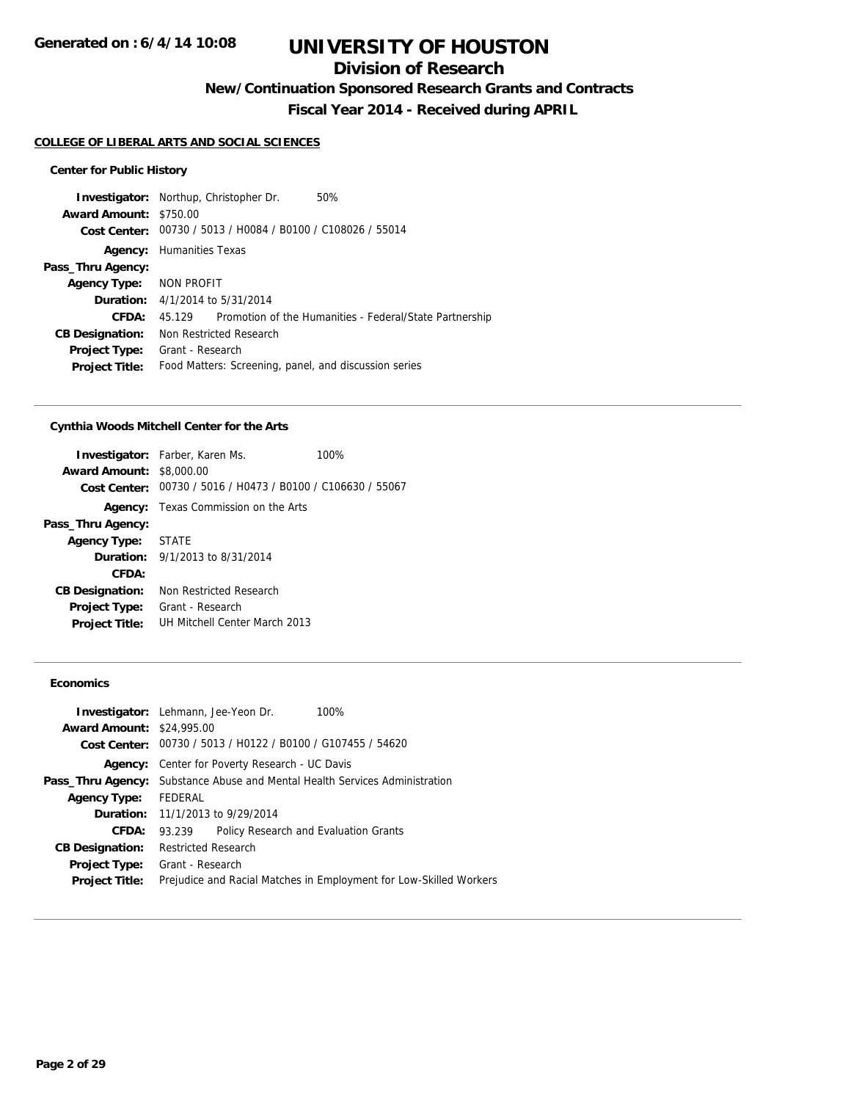## **Division of Research**

**New/Continuation Sponsored Research Grants and Contracts**

**Fiscal Year 2014 - Received during APRIL**

#### **COLLEGE OF LIBERAL ARTS AND SOCIAL SCIENCES**

### **Center for Public History**

|                               | <b>Investigator:</b> Northup, Christopher Dr.<br>50%              |  |  |
|-------------------------------|-------------------------------------------------------------------|--|--|
| <b>Award Amount: \$750.00</b> |                                                                   |  |  |
|                               | Cost Center: 00730 / 5013 / H0084 / B0100 / C108026 / 55014       |  |  |
|                               | <b>Agency:</b> Humanities Texas                                   |  |  |
| Pass_Thru Agency:             |                                                                   |  |  |
| Agency Type: NON PROFIT       |                                                                   |  |  |
|                               | <b>Duration:</b> 4/1/2014 to 5/31/2014                            |  |  |
| CFDA:                         | Promotion of the Humanities - Federal/State Partnership<br>45.129 |  |  |
| <b>CB Designation:</b>        | Non Restricted Research                                           |  |  |
| <b>Project Type:</b>          | Grant - Research                                                  |  |  |
| <b>Project Title:</b>         | Food Matters: Screening, panel, and discussion series             |  |  |
|                               |                                                                   |  |  |

#### **Cynthia Woods Mitchell Center for the Arts**

|                                                             | 100%                                                                                                                                      |  |
|-------------------------------------------------------------|-------------------------------------------------------------------------------------------------------------------------------------------|--|
| Cost Center: 00730 / 5016 / H0473 / B0100 / C106630 / 55067 |                                                                                                                                           |  |
| <b>Agency:</b> Texas Commission on the Arts                 |                                                                                                                                           |  |
|                                                             |                                                                                                                                           |  |
|                                                             |                                                                                                                                           |  |
|                                                             |                                                                                                                                           |  |
|                                                             |                                                                                                                                           |  |
| Non Restricted Research                                     |                                                                                                                                           |  |
| Grant - Research<br>UH Mitchell Center March 2013           |                                                                                                                                           |  |
|                                                             | <b>Investigator:</b> Farber, Karen Ms.<br><b>Award Amount: \$8,000.00</b><br>Agency Type: STATE<br><b>Duration:</b> 9/1/2013 to 8/31/2014 |  |

### **Economics**

|                                  | <b>Investigator:</b> Lehmann, Jee-Yeon Dr.                                         | 100%                                                               |
|----------------------------------|------------------------------------------------------------------------------------|--------------------------------------------------------------------|
| <b>Award Amount: \$24,995.00</b> |                                                                                    |                                                                    |
|                                  | Cost Center: 00730 / 5013 / H0122 / B0100 / G107455 / 54620                        |                                                                    |
| Agency:                          | Center for Poverty Research - UC Davis                                             |                                                                    |
|                                  | <b>Pass_Thru Agency:</b> Substance Abuse and Mental Health Services Administration |                                                                    |
| <b>Agency Type:</b>              | FEDERAL                                                                            |                                                                    |
|                                  | <b>Duration:</b> 11/1/2013 to 9/29/2014                                            |                                                                    |
| CFDA:                            | Policy Research and Evaluation Grants<br>93.239                                    |                                                                    |
| <b>CB Designation:</b>           | <b>Restricted Research</b>                                                         |                                                                    |
|                                  | <b>Project Type:</b> Grant - Research                                              |                                                                    |
| <b>Project Title:</b>            |                                                                                    | Prejudice and Racial Matches in Employment for Low-Skilled Workers |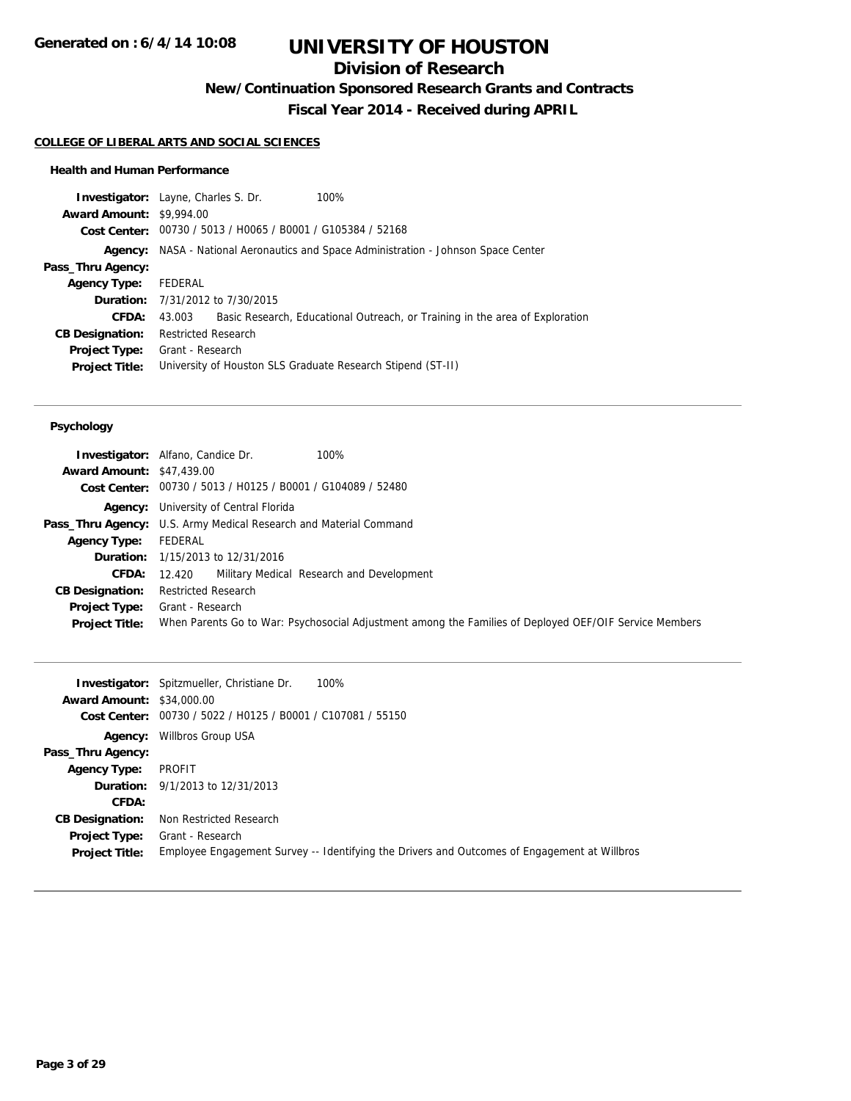## **Division of Research**

**New/Continuation Sponsored Research Grants and Contracts**

**Fiscal Year 2014 - Received during APRIL**

#### **COLLEGE OF LIBERAL ARTS AND SOCIAL SCIENCES**

#### **Health and Human Performance**

| <b>Investigator:</b> Layne, Charles S. Dr. |                                                                                     |                                                             | 100%                                                                         |
|--------------------------------------------|-------------------------------------------------------------------------------------|-------------------------------------------------------------|------------------------------------------------------------------------------|
| <b>Award Amount: \$9,994.00</b>            |                                                                                     |                                                             |                                                                              |
|                                            |                                                                                     | Cost Center: 00730 / 5013 / H0065 / B0001 / G105384 / 52168 |                                                                              |
|                                            | Agency: NASA - National Aeronautics and Space Administration - Johnson Space Center |                                                             |                                                                              |
| Pass_Thru Agency:                          |                                                                                     |                                                             |                                                                              |
| <b>Agency Type:</b>                        | FEDERAL                                                                             |                                                             |                                                                              |
|                                            | <b>Duration:</b> 7/31/2012 to 7/30/2015                                             |                                                             |                                                                              |
| CFDA:                                      | 43.003                                                                              |                                                             | Basic Research, Educational Outreach, or Training in the area of Exploration |
| <b>CB Designation:</b>                     | <b>Restricted Research</b>                                                          |                                                             |                                                                              |
| <b>Project Type:</b>                       | Grant - Research                                                                    |                                                             |                                                                              |
| <b>Project Title:</b>                      | University of Houston SLS Graduate Research Stipend (ST-II)                         |                                                             |                                                                              |
|                                            |                                                                                     |                                                             |                                                                              |

#### **Psychology**

| <b>Award Amount: \$47,439.00</b> | 100%<br><b>Investigator:</b> Alfano, Candice Dr.<br>Cost Center: 00730 / 5013 / H0125 / B0001 / G104089 / 52480 |  |
|----------------------------------|-----------------------------------------------------------------------------------------------------------------|--|
|                                  | Agency: University of Central Florida                                                                           |  |
|                                  | Pass_Thru Agency: U.S. Army Medical Research and Material Command                                               |  |
| <b>Agency Type:</b>              | FEDERAL                                                                                                         |  |
|                                  | <b>Duration:</b> 1/15/2013 to 12/31/2016                                                                        |  |
| <b>CFDA:</b>                     | 12.420 Military Medical Research and Development                                                                |  |
| <b>CB Designation:</b>           | <b>Restricted Research</b>                                                                                      |  |
| <b>Project Type:</b>             | Grant - Research                                                                                                |  |
| <b>Project Title:</b>            | When Parents Go to War: Psychosocial Adjustment among the Families of Deployed OEF/OIF Service Members          |  |

|                                  | <b>Investigator:</b> Spitzmueller, Christiane Dr.<br>100%                                    |
|----------------------------------|----------------------------------------------------------------------------------------------|
| <b>Award Amount: \$34,000.00</b> |                                                                                              |
|                                  | Cost Center: 00730 / 5022 / H0125 / B0001 / C107081 / 55150                                  |
| Agency:                          | Willbros Group USA                                                                           |
| Pass_Thru Agency:                |                                                                                              |
| <b>Agency Type:</b>              | PROFIT                                                                                       |
|                                  | <b>Duration:</b> 9/1/2013 to 12/31/2013                                                      |
| CFDA:                            |                                                                                              |
| <b>CB Designation:</b>           | Non Restricted Research                                                                      |
| <b>Project Type:</b>             | Grant - Research                                                                             |
| <b>Project Title:</b>            | Employee Engagement Survey -- Identifying the Drivers and Outcomes of Engagement at Willbros |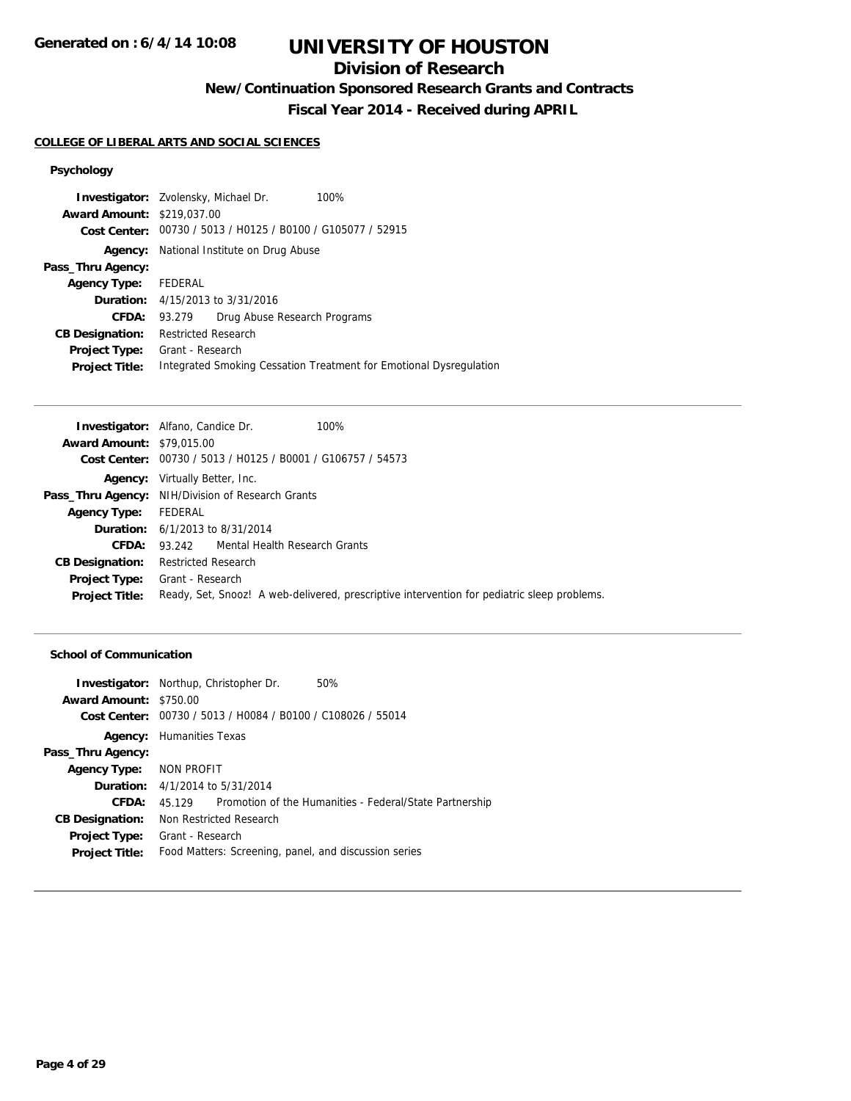## **Division of Research**

**New/Continuation Sponsored Research Grants and Contracts**

**Fiscal Year 2014 - Received during APRIL**

#### **COLLEGE OF LIBERAL ARTS AND SOCIAL SCIENCES**

### **Psychology**

|                                   | <b>Investigator:</b> Zvolensky, Michael Dr.<br>100%                |
|-----------------------------------|--------------------------------------------------------------------|
| <b>Award Amount: \$219,037,00</b> |                                                                    |
|                                   | Cost Center: 00730 / 5013 / H0125 / B0100 / G105077 / 52915        |
| Agency:                           | National Institute on Drug Abuse                                   |
| Pass_Thru Agency:                 |                                                                    |
| Agency Type: FEDERAL              |                                                                    |
|                                   | <b>Duration:</b> 4/15/2013 to 3/31/2016                            |
| CFDA:                             | Drug Abuse Research Programs<br>93.279                             |
| <b>CB Designation:</b>            | <b>Restricted Research</b>                                         |
| <b>Project Type:</b>              | Grant - Research                                                   |
| <b>Project Title:</b>             | Integrated Smoking Cessation Treatment for Emotional Dysregulation |
|                                   |                                                                    |

|                                  | <b>Investigator:</b> Alfano, Candice Dr.<br>100%                                            |  |  |
|----------------------------------|---------------------------------------------------------------------------------------------|--|--|
| <b>Award Amount: \$79,015.00</b> |                                                                                             |  |  |
|                                  | Cost Center: 00730 / 5013 / H0125 / B0001 / G106757 / 54573                                 |  |  |
|                                  | <b>Agency:</b> Virtually Better, Inc.                                                       |  |  |
|                                  | <b>Pass_Thru Agency:</b> NIH/Division of Research Grants                                    |  |  |
| <b>Agency Type:</b>              | FEDERAL                                                                                     |  |  |
|                                  | <b>Duration:</b> 6/1/2013 to 8/31/2014                                                      |  |  |
| CFDA:                            | 93.242 Mental Health Research Grants                                                        |  |  |
| <b>CB Designation:</b>           | Restricted Research                                                                         |  |  |
| <b>Project Type:</b>             | Grant - Research                                                                            |  |  |
| <b>Project Title:</b>            | Ready, Set, Snooz! A web-delivered, prescriptive intervention for pediatric sleep problems. |  |  |
|                                  |                                                                                             |  |  |

#### **School of Communication**

|                         | <b>Investigator:</b> Northup, Christopher Dr.<br>50%                |  |
|-------------------------|---------------------------------------------------------------------|--|
| Award Amount: \$750.00  |                                                                     |  |
| <b>Cost Center:</b>     | 00730 / 5013 / H0084 / B0100 / C108026 / 55014                      |  |
|                         | <b>Agency:</b> Humanities Texas                                     |  |
| Pass_Thru Agency:       |                                                                     |  |
| Agency Type: NON PROFIT |                                                                     |  |
|                         | <b>Duration:</b> 4/1/2014 to 5/31/2014                              |  |
| CFDA:                   | Promotion of the Humanities - Federal/State Partnership<br>45 1 2 9 |  |
| <b>CB Designation:</b>  | Non Restricted Research                                             |  |
| <b>Project Type:</b>    | Grant - Research                                                    |  |
| <b>Project Title:</b>   | Food Matters: Screening, panel, and discussion series               |  |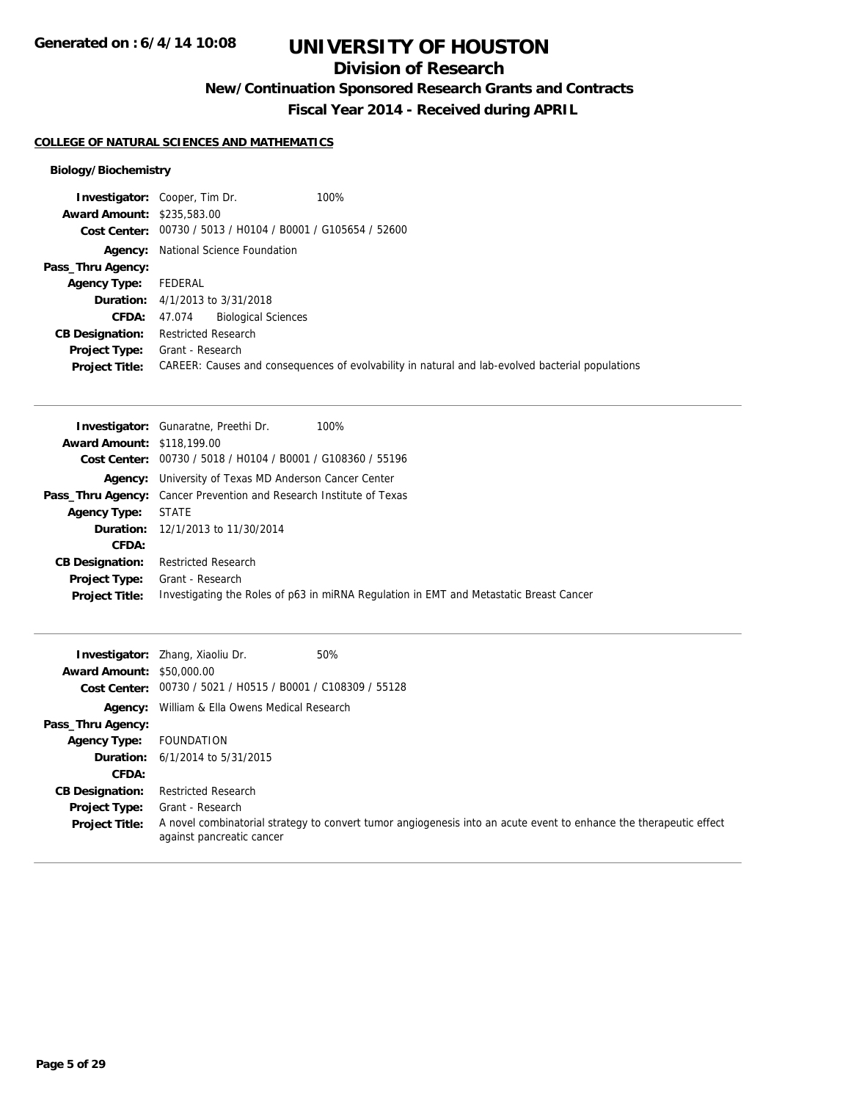## **Division of Research**

**New/Continuation Sponsored Research Grants and Contracts**

**Fiscal Year 2014 - Received during APRIL**

### **COLLEGE OF NATURAL SCIENCES AND MATHEMATICS**

### **Biology/Biochemistry**

| <b>Investigator:</b> Cooper, Tim Dr.                        | 100%                                                                                             |
|-------------------------------------------------------------|--------------------------------------------------------------------------------------------------|
| <b>Award Amount: \$235,583.00</b>                           |                                                                                                  |
| Cost Center: 00730 / 5013 / H0104 / B0001 / G105654 / 52600 |                                                                                                  |
| National Science Foundation                                 |                                                                                                  |
|                                                             |                                                                                                  |
| FEDERAL                                                     |                                                                                                  |
| <b>Duration:</b> $4/1/2013$ to $3/31/2018$                  |                                                                                                  |
| <b>Biological Sciences</b><br>47.074                        |                                                                                                  |
| <b>Restricted Research</b>                                  |                                                                                                  |
| Grant - Research                                            |                                                                                                  |
|                                                             | CAREER: Causes and consequences of evolvability in natural and lab-evolved bacterial populations |
|                                                             |                                                                                                  |

|                                   | <b>Investigator:</b> Gunaratne, Preethi Dr.<br>100%                                    |
|-----------------------------------|----------------------------------------------------------------------------------------|
| <b>Award Amount: \$118,199.00</b> |                                                                                        |
|                                   | Cost Center: 00730 / 5018 / H0104 / B0001 / G108360 / 55196                            |
|                                   | <b>Agency:</b> University of Texas MD Anderson Cancer Center                           |
|                                   | <b>Pass_Thru Agency:</b> Cancer Prevention and Research Institute of Texas             |
| <b>Agency Type:</b>               | <b>STATE</b>                                                                           |
|                                   | <b>Duration:</b> 12/1/2013 to 11/30/2014                                               |
| CFDA:                             |                                                                                        |
| <b>CB Designation:</b>            | <b>Restricted Research</b>                                                             |
| <b>Project Type:</b>              | Grant - Research                                                                       |
| <b>Project Title:</b>             | Investigating the Roles of p63 in miRNA Regulation in EMT and Metastatic Breast Cancer |

| <b>Award Amount: \$50,000.00</b><br>Cost Center: | 50%<br><b>Investigator:</b> Zhang, Xiaoliu Dr.<br>00730 / 5021 / H0515 / B0001 / C108309 / 55128                                                |  |  |
|--------------------------------------------------|-------------------------------------------------------------------------------------------------------------------------------------------------|--|--|
| Agency:                                          | William & Ella Owens Medical Research                                                                                                           |  |  |
| Pass_Thru Agency:                                |                                                                                                                                                 |  |  |
| <b>Agency Type:</b>                              | FOUNDATION                                                                                                                                      |  |  |
|                                                  | <b>Duration:</b> $6/1/2014$ to $5/31/2015$                                                                                                      |  |  |
| CFDA:                                            |                                                                                                                                                 |  |  |
| <b>CB Designation:</b>                           | <b>Restricted Research</b>                                                                                                                      |  |  |
| <b>Project Type:</b>                             | Grant - Research                                                                                                                                |  |  |
| <b>Project Title:</b>                            | A novel combinatorial strategy to convert tumor angiogenesis into an acute event to enhance the therapeutic effect<br>against pancreatic cancer |  |  |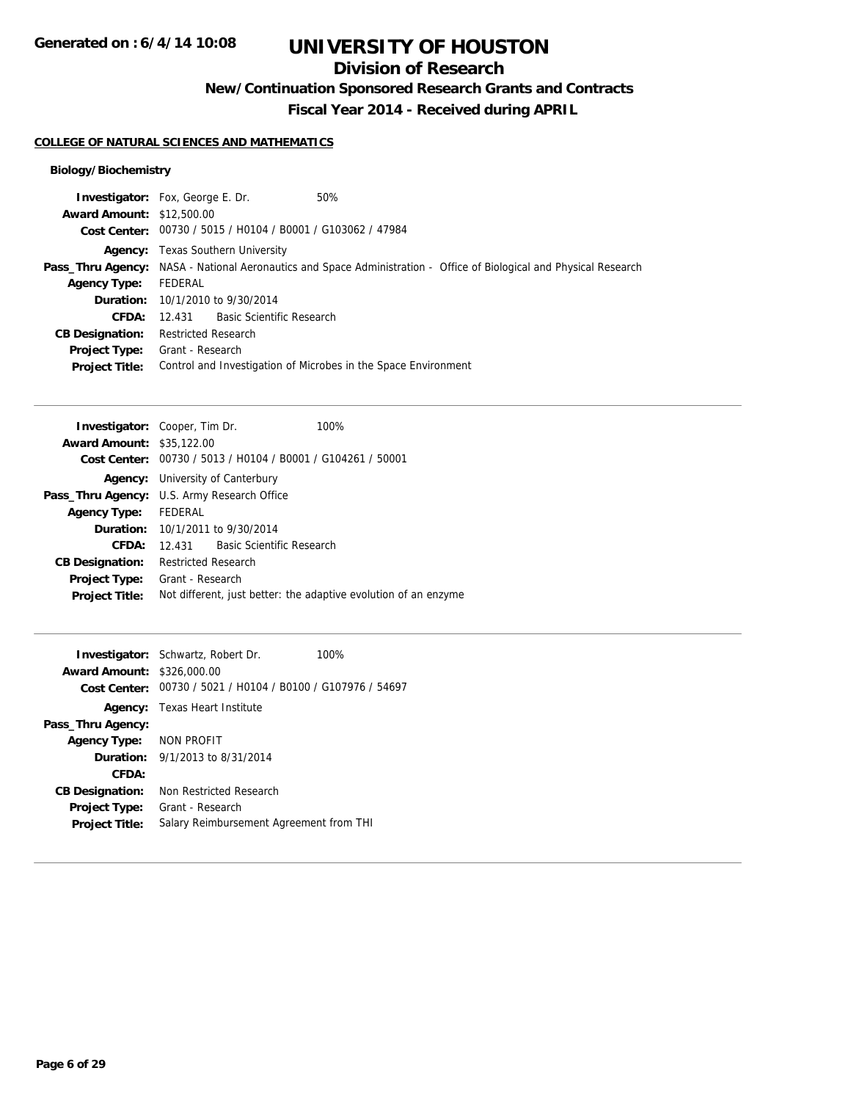## **Division of Research**

**New/Continuation Sponsored Research Grants and Contracts**

**Fiscal Year 2014 - Received during APRIL**

#### **COLLEGE OF NATURAL SCIENCES AND MATHEMATICS**

### **Biology/Biochemistry**

|                                  | <b>Investigator:</b> Fox, George E. Dr.                     | 50%                                                                                                                 |
|----------------------------------|-------------------------------------------------------------|---------------------------------------------------------------------------------------------------------------------|
| <b>Award Amount: \$12,500.00</b> |                                                             |                                                                                                                     |
|                                  | Cost Center: 00730 / 5015 / H0104 / B0001 / G103062 / 47984 |                                                                                                                     |
|                                  | <b>Agency:</b> Texas Southern University                    |                                                                                                                     |
|                                  |                                                             | Pass_Thru Agency: NASA - National Aeronautics and Space Administration - Office of Biological and Physical Research |
| <b>Agency Type:</b>              | FEDERAL                                                     |                                                                                                                     |
|                                  | <b>Duration:</b> 10/1/2010 to 9/30/2014                     |                                                                                                                     |
|                                  | <b>CFDA:</b> 12.431 Basic Scientific Research               |                                                                                                                     |
| <b>CB Designation:</b>           | <b>Restricted Research</b>                                  |                                                                                                                     |
|                                  | <b>Project Type:</b> Grant - Research                       |                                                                                                                     |
| <b>Project Title:</b>            |                                                             | Control and Investigation of Microbes in the Space Environment                                                      |
|                                  |                                                             |                                                                                                                     |

| <b>Investigator:</b> Cooper, Tim Dr. |                                                             |                                         | 100%                                                            |
|--------------------------------------|-------------------------------------------------------------|-----------------------------------------|-----------------------------------------------------------------|
| <b>Award Amount: \$35,122.00</b>     |                                                             |                                         |                                                                 |
|                                      | Cost Center: 00730 / 5013 / H0104 / B0001 / G104261 / 50001 |                                         |                                                                 |
|                                      | <b>Agency:</b> University of Canterbury                     |                                         |                                                                 |
|                                      | Pass_Thru Agency: U.S. Army Research Office                 |                                         |                                                                 |
| Agency Type: FEDERAL                 |                                                             |                                         |                                                                 |
|                                      |                                                             | <b>Duration:</b> 10/1/2011 to 9/30/2014 |                                                                 |
| CFDA:                                |                                                             | 12.431 Basic Scientific Research        |                                                                 |
| <b>CB Designation:</b>               | <b>Restricted Research</b>                                  |                                         |                                                                 |
| Project Type: Grant - Research       |                                                             |                                         |                                                                 |
| <b>Project Title:</b>                |                                                             |                                         | Not different, just better: the adaptive evolution of an enzyme |
|                                      |                                                             |                                         |                                                                 |

|                                   | <b>Investigator:</b> Schwartz, Robert Dr.                   | 100% |
|-----------------------------------|-------------------------------------------------------------|------|
| <b>Award Amount: \$326,000.00</b> |                                                             |      |
|                                   | Cost Center: 00730 / 5021 / H0104 / B0100 / G107976 / 54697 |      |
|                                   | <b>Agency:</b> Texas Heart Institute                        |      |
| Pass_Thru Agency:                 |                                                             |      |
| Agency Type: NON PROFIT           |                                                             |      |
|                                   | <b>Duration:</b> $9/1/2013$ to $8/31/2014$                  |      |
| CFDA:                             |                                                             |      |
| <b>CB Designation:</b>            | Non Restricted Research                                     |      |
| <b>Project Type:</b>              | Grant - Research                                            |      |
| <b>Project Title:</b>             | Salary Reimbursement Agreement from THI                     |      |
|                                   |                                                             |      |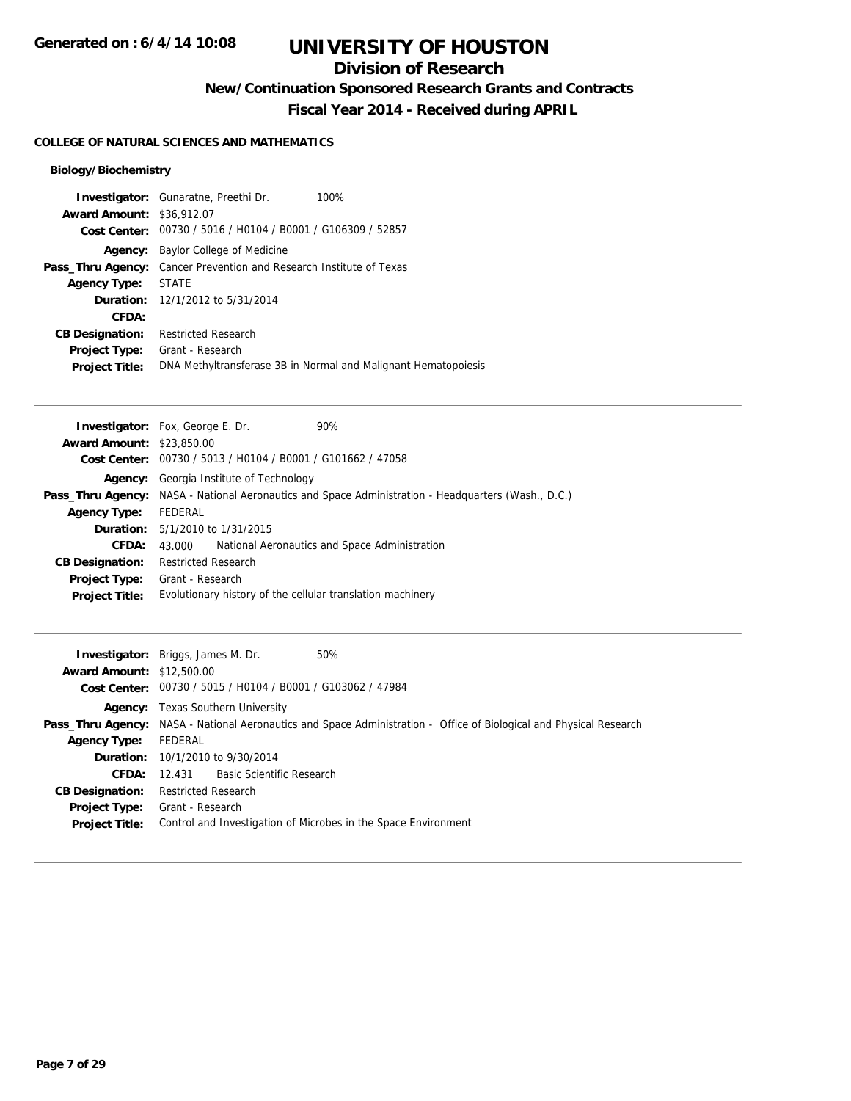## **Division of Research**

**New/Continuation Sponsored Research Grants and Contracts**

**Fiscal Year 2014 - Received during APRIL**

### **COLLEGE OF NATURAL SCIENCES AND MATHEMATICS**

### **Biology/Biochemistry**

|                                  | <b>Investigator:</b> Gunaratne, Preethi Dr.                                | 100%                                                           |
|----------------------------------|----------------------------------------------------------------------------|----------------------------------------------------------------|
| <b>Award Amount: \$36,912.07</b> |                                                                            |                                                                |
|                                  | Cost Center: 00730 / 5016 / H0104 / B0001 / G106309 / 52857                |                                                                |
| Agency:                          | Baylor College of Medicine                                                 |                                                                |
|                                  | <b>Pass_Thru Agency:</b> Cancer Prevention and Research Institute of Texas |                                                                |
| <b>Agency Type:</b>              | <b>STATE</b>                                                               |                                                                |
|                                  | <b>Duration:</b> 12/1/2012 to 5/31/2014                                    |                                                                |
| CFDA:                            |                                                                            |                                                                |
| <b>CB Designation:</b>           | <b>Restricted Research</b>                                                 |                                                                |
| <b>Project Type:</b>             | Grant - Research                                                           |                                                                |
| <b>Project Title:</b>            |                                                                            | DNA Methyltransferase 3B in Normal and Malignant Hematopoiesis |

|                                  | <b>Investigator:</b> Fox, George E. Dr.                                                                    | 90%                                                         |  |  |  |
|----------------------------------|------------------------------------------------------------------------------------------------------------|-------------------------------------------------------------|--|--|--|
| <b>Award Amount: \$23,850.00</b> |                                                                                                            |                                                             |  |  |  |
|                                  |                                                                                                            | Cost Center: 00730 / 5013 / H0104 / B0001 / G101662 / 47058 |  |  |  |
|                                  | <b>Agency:</b> Georgia Institute of Technology                                                             |                                                             |  |  |  |
|                                  | <b>Pass_Thru Agency:</b> NASA - National Aeronautics and Space Administration - Headquarters (Wash., D.C.) |                                                             |  |  |  |
| <b>Agency Type:</b>              | FEDERAL                                                                                                    |                                                             |  |  |  |
|                                  | <b>Duration:</b> 5/1/2010 to 1/31/2015                                                                     |                                                             |  |  |  |
| <b>CFDA:</b>                     | 43.000                                                                                                     | National Aeronautics and Space Administration               |  |  |  |
| <b>CB Designation:</b>           | <b>Restricted Research</b>                                                                                 |                                                             |  |  |  |
| <b>Project Type:</b>             | Grant - Research                                                                                           |                                                             |  |  |  |
| <b>Project Title:</b>            | Evolutionary history of the cellular translation machinery                                                 |                                                             |  |  |  |

| <b>Award Amount: \$12,500.00</b>                              | <b>Investigator:</b> Briggs, James M. Dr.<br>50%<br>Cost Center: 00730 / 5015 / H0104 / B0001 / G103062 / 47984                                                                                                                                                                                |
|---------------------------------------------------------------|------------------------------------------------------------------------------------------------------------------------------------------------------------------------------------------------------------------------------------------------------------------------------------------------|
| <b>Agency Type:</b><br><b>CFDA:</b><br><b>CB Designation:</b> | <b>Agency:</b> Texas Southern University<br><b>Pass_Thru Agency:</b> NASA - National Aeronautics and Space Administration - Office of Biological and Physical Research<br>FEDERAL<br><b>Duration:</b> 10/1/2010 to 9/30/2014<br>12.431 Basic Scientific Research<br><b>Restricted Research</b> |
| <b>Project Type:</b><br><b>Project Title:</b>                 | Grant - Research<br>Control and Investigation of Microbes in the Space Environment                                                                                                                                                                                                             |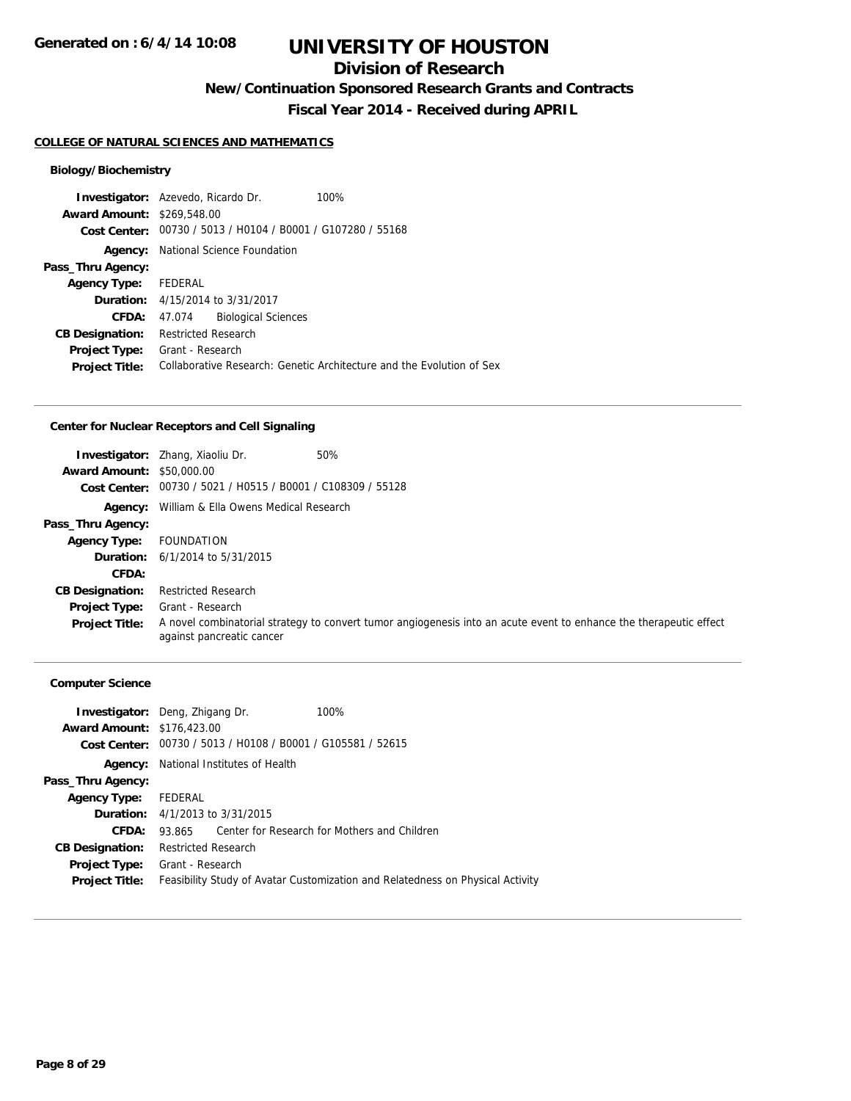## **Division of Research**

**New/Continuation Sponsored Research Grants and Contracts**

**Fiscal Year 2014 - Received during APRIL**

#### **COLLEGE OF NATURAL SCIENCES AND MATHEMATICS**

### **Biology/Biochemistry**

|                                   | <b>Investigator:</b> Azevedo, Ricardo Dr.<br>100%                     |  |  |
|-----------------------------------|-----------------------------------------------------------------------|--|--|
| <b>Award Amount: \$269,548.00</b> |                                                                       |  |  |
| Cost Center:                      | 00730 / 5013 / H0104 / B0001 / G107280 / 55168                        |  |  |
| Agency:                           | National Science Foundation                                           |  |  |
| Pass_Thru Agency:                 |                                                                       |  |  |
| Agency Type: FEDERAL              |                                                                       |  |  |
|                                   | <b>Duration:</b> 4/15/2014 to 3/31/2017                               |  |  |
| CFDA:                             | <b>Biological Sciences</b><br>47.074                                  |  |  |
| <b>CB Designation:</b>            | <b>Restricted Research</b>                                            |  |  |
| <b>Project Type:</b>              | Grant - Research                                                      |  |  |
| <b>Project Title:</b>             | Collaborative Research: Genetic Architecture and the Evolution of Sex |  |  |

### **Center for Nuclear Receptors and Cell Signaling**

| <b>Award Amount: \$50,000.00</b> | 50%<br><b>Investigator:</b> Zhang, Xiaoliu Dr.<br>Cost Center: 00730 / 5021 / H0515 / B0001 / C108309 / 55128                                   |
|----------------------------------|-------------------------------------------------------------------------------------------------------------------------------------------------|
| Agency:                          | William & Ella Owens Medical Research                                                                                                           |
| Pass_Thru Agency:                |                                                                                                                                                 |
| <b>Agency Type:</b>              | FOUNDATION                                                                                                                                      |
|                                  | <b>Duration:</b> $6/1/2014$ to $5/31/2015$                                                                                                      |
| CFDA:                            |                                                                                                                                                 |
| <b>CB Designation:</b>           | <b>Restricted Research</b>                                                                                                                      |
| Project Type:                    | Grant - Research                                                                                                                                |
| <b>Project Title:</b>            | A novel combinatorial strategy to convert tumor angiogenesis into an acute event to enhance the therapeutic effect<br>against pancreatic cancer |

#### **Computer Science**

| <b>Investigator:</b> Deng, Zhigang Dr. |                                        |                                                             | 100%                                                                           |  |
|----------------------------------------|----------------------------------------|-------------------------------------------------------------|--------------------------------------------------------------------------------|--|
| <b>Award Amount: \$176,423.00</b>      |                                        |                                                             |                                                                                |  |
|                                        |                                        | Cost Center: 00730 / 5013 / H0108 / B0001 / G105581 / 52615 |                                                                                |  |
|                                        |                                        | <b>Agency:</b> National Institutes of Health                |                                                                                |  |
| Pass_Thru Agency:                      |                                        |                                                             |                                                                                |  |
| <b>Agency Type:</b>                    | FEDERAL                                |                                                             |                                                                                |  |
|                                        | <b>Duration:</b> 4/1/2013 to 3/31/2015 |                                                             |                                                                                |  |
| CFDA:                                  | 93.865                                 |                                                             | Center for Research for Mothers and Children                                   |  |
| <b>CB Designation:</b>                 | <b>Restricted Research</b>             |                                                             |                                                                                |  |
| <b>Project Type:</b>                   | Grant - Research                       |                                                             |                                                                                |  |
| <b>Project Title:</b>                  |                                        |                                                             | Feasibility Study of Avatar Customization and Relatedness on Physical Activity |  |
|                                        |                                        |                                                             |                                                                                |  |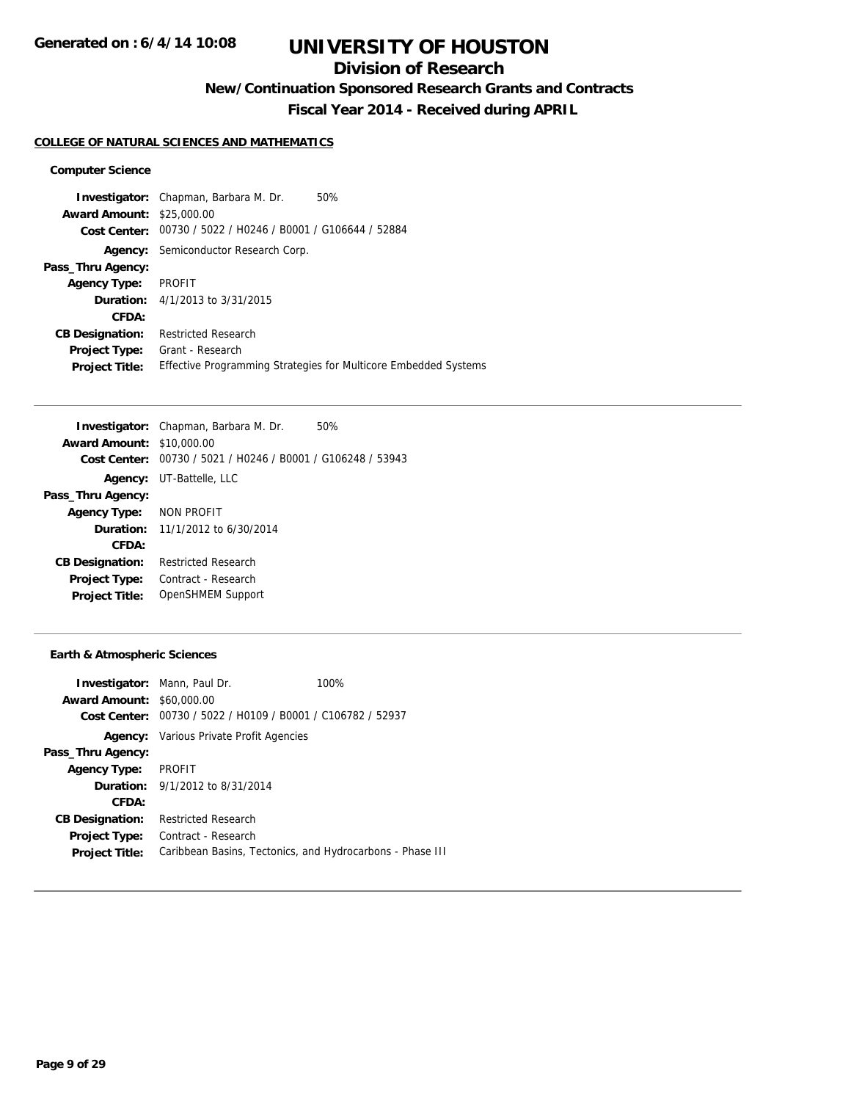## **Division of Research**

**New/Continuation Sponsored Research Grants and Contracts**

**Fiscal Year 2014 - Received during APRIL**

#### **COLLEGE OF NATURAL SCIENCES AND MATHEMATICS**

#### **Computer Science**

**Investigator:** Chapman, Barbara M. Dr. 50% **Award Amount:** \$25,000.00 **Cost Center:** 00730 / 5022 / H0246 / B0001 / G106644 / 52884 **Agency:** Semiconductor Research Corp. **Pass\_Thru Agency: Agency Type:** PROFIT **Duration:** 4/1/2013 to 3/31/2015 **CFDA: CB Designation:** Restricted Research **Project Type:** Grant - Research **Project Title:** Effective Programming Strategies for Multicore Embedded Systems

| <b>Investigator:</b> Chapman, Barbara M. Dr.<br>50%         |  |  |
|-------------------------------------------------------------|--|--|
| <b>Award Amount: \$10,000.00</b>                            |  |  |
| Cost Center: 00730 / 5021 / H0246 / B0001 / G106248 / 53943 |  |  |
| UT-Battelle, LLC                                            |  |  |
|                                                             |  |  |
| NON PROFIT<br><b>Agency Type:</b>                           |  |  |
| <b>Duration:</b> 11/1/2012 to 6/30/2014                     |  |  |
|                                                             |  |  |
| <b>Restricted Research</b>                                  |  |  |
| Contract - Research                                         |  |  |
| OpenSHMEM Support                                           |  |  |
|                                                             |  |  |

#### **Earth & Atmospheric Sciences**

| <b>Investigator:</b> Mann, Paul Dr.<br><b>Award Amount: \$60,000.00</b><br>Cost Center: 00730 / 5022 / H0109 / B0001 / C106782 / 52937 | 100% |
|----------------------------------------------------------------------------------------------------------------------------------------|------|
| <b>Agency:</b> Various Private Profit Agencies                                                                                         |      |
|                                                                                                                                        |      |
| PROFIT                                                                                                                                 |      |
| <b>Duration:</b> 9/1/2012 to 8/31/2014                                                                                                 |      |
|                                                                                                                                        |      |
| <b>Restricted Research</b>                                                                                                             |      |
| Contract - Research                                                                                                                    |      |
| Caribbean Basins, Tectonics, and Hydrocarbons - Phase III                                                                              |      |
|                                                                                                                                        |      |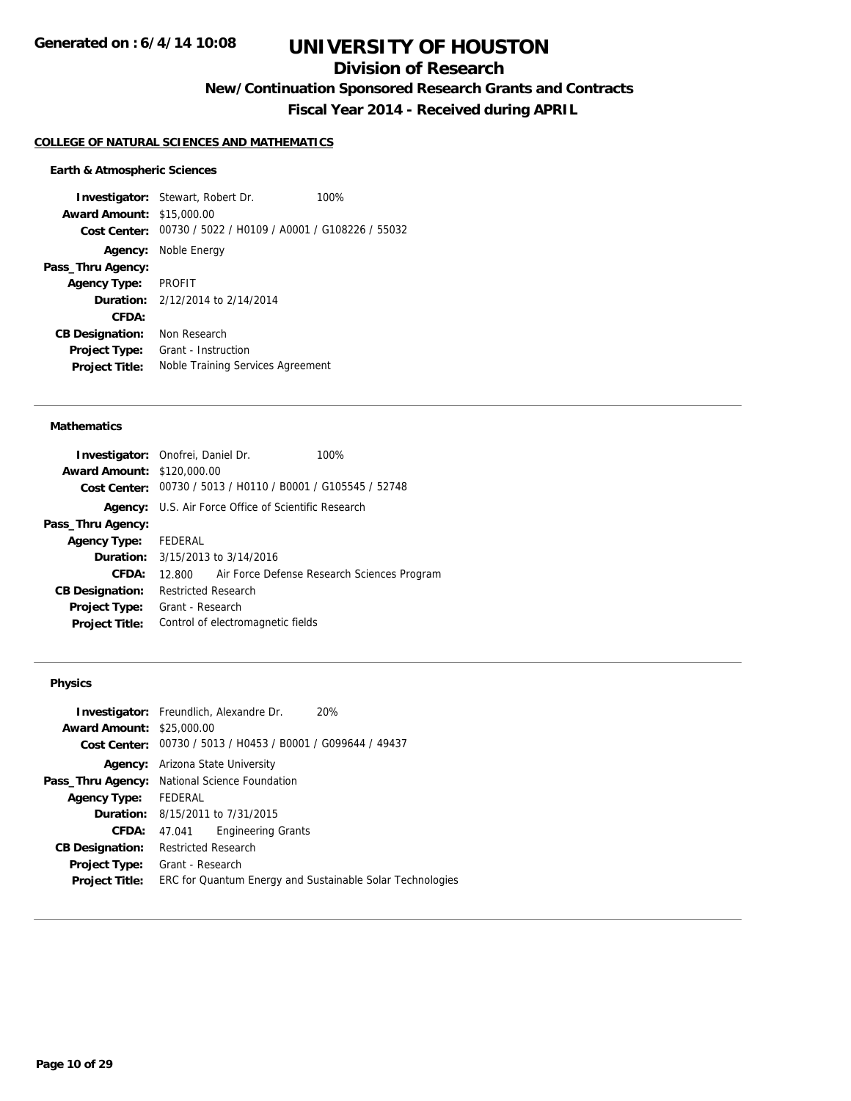## **Division of Research**

**New/Continuation Sponsored Research Grants and Contracts**

**Fiscal Year 2014 - Received during APRIL**

#### **COLLEGE OF NATURAL SCIENCES AND MATHEMATICS**

#### **Earth & Atmospheric Sciences**

**Investigator:** Stewart, Robert Dr. 100% **Award Amount:** \$15,000.00 **Cost Center:** 00730 / 5022 / H0109 / A0001 / G108226 / 55032 **Agency:** Noble Energy **Pass\_Thru Agency: Agency Type:** PROFIT **Duration:** 2/12/2014 to 2/14/2014 **CFDA: CB Designation:** Non Research **Project Type:** Grant - Instruction **Project Title:** Noble Training Services Agreement

#### **Mathematics**

| Investigator: Onofrei, Daniel Dr.                           |                            |                                         | 100%                                                        |                                                    |
|-------------------------------------------------------------|----------------------------|-----------------------------------------|-------------------------------------------------------------|----------------------------------------------------|
| <b>Award Amount: \$120,000.00</b>                           |                            |                                         |                                                             |                                                    |
| Cost Center: 00730 / 5013 / H0110 / B0001 / G105545 / 52748 |                            |                                         |                                                             |                                                    |
|                                                             |                            |                                         | <b>Agency:</b> U.S. Air Force Office of Scientific Research |                                                    |
| Pass_Thru Agency:                                           |                            |                                         |                                                             |                                                    |
| <b>Agency Type:</b>                                         | FEDERAL                    |                                         |                                                             |                                                    |
|                                                             |                            | <b>Duration:</b> 3/15/2013 to 3/14/2016 |                                                             |                                                    |
| CFDA:                                                       |                            |                                         |                                                             | 12.800 Air Force Defense Research Sciences Program |
| <b>CB Designation:</b>                                      | <b>Restricted Research</b> |                                         |                                                             |                                                    |
| <b>Project Type:</b>                                        | Grant - Research           |                                         |                                                             |                                                    |
| <b>Project Title:</b>                                       |                            | Control of electromagnetic fields       |                                                             |                                                    |
|                                                             |                            |                                         |                                                             |                                                    |

#### **Physics**

| <b>Award Amount:</b>   | <b>Investigator:</b> Freundlich, Alexandre Dr.<br>20%<br>\$25,000.00 |
|------------------------|----------------------------------------------------------------------|
| Cost Center:           | 00730 / 5013 / H0453 / B0001 / G099644 / 49437                       |
|                        | <b>Agency:</b> Arizona State University                              |
|                        | Pass_Thru Agency: National Science Foundation                        |
| <b>Agency Type:</b>    | FEDERAL                                                              |
|                        | <b>Duration:</b> 8/15/2011 to 7/31/2015                              |
| <b>CFDA:</b>           | <b>Engineering Grants</b><br>47.041                                  |
| <b>CB Designation:</b> | <b>Restricted Research</b>                                           |
| <b>Project Type:</b>   | Grant - Research                                                     |
| <b>Project Title:</b>  | ERC for Quantum Energy and Sustainable Solar Technologies            |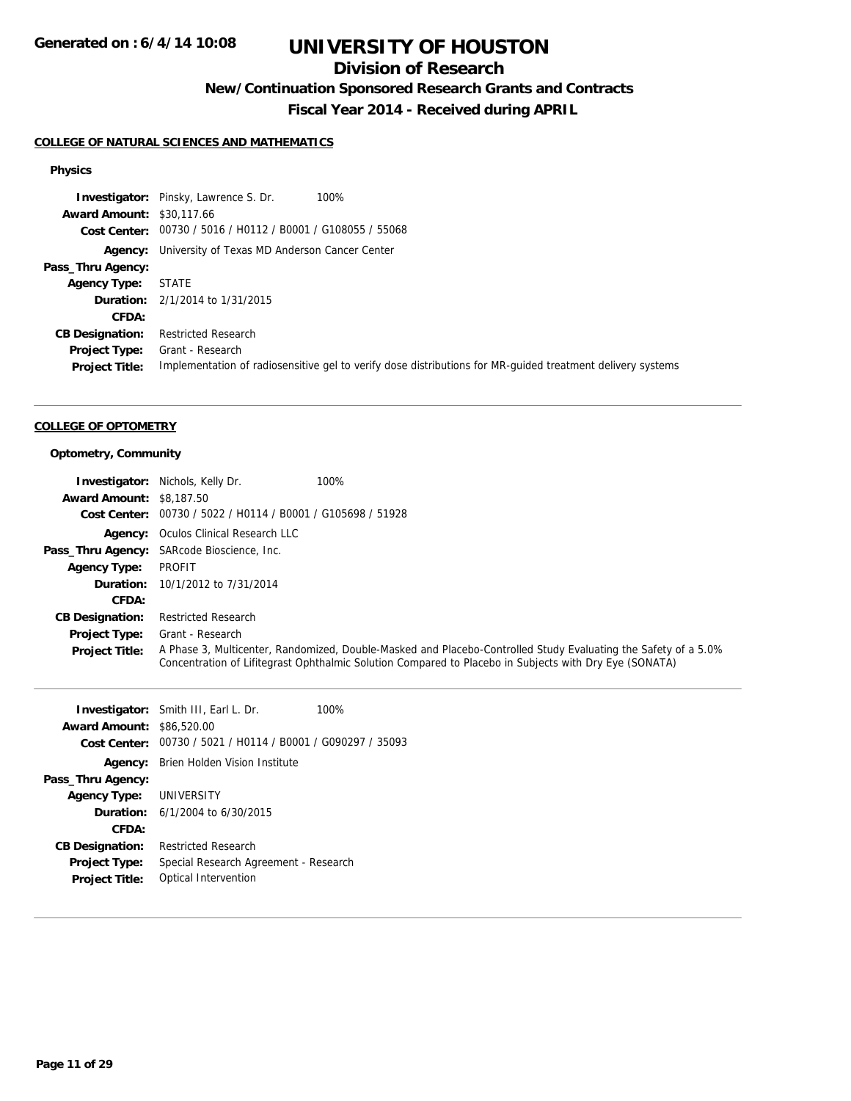## **Division of Research**

**New/Continuation Sponsored Research Grants and Contracts**

**Fiscal Year 2014 - Received during APRIL**

### **COLLEGE OF NATURAL SCIENCES AND MATHEMATICS**

#### **Physics**

|                                  | <b>Investigator:</b> Pinsky, Lawrence S. Dr.<br>100%                                                       |
|----------------------------------|------------------------------------------------------------------------------------------------------------|
| <b>Award Amount: \$30,117.66</b> |                                                                                                            |
|                                  | Cost Center: 00730 / 5016 / H0112 / B0001 / G108055 / 55068                                                |
|                                  | <b>Agency:</b> University of Texas MD Anderson Cancer Center                                               |
| Pass_Thru Agency:                |                                                                                                            |
| <b>Agency Type: STATE</b>        |                                                                                                            |
|                                  | <b>Duration:</b> 2/1/2014 to 1/31/2015                                                                     |
| <b>CFDA:</b>                     |                                                                                                            |
| <b>CB Designation:</b>           | <b>Restricted Research</b>                                                                                 |
| <b>Project Type:</b>             | Grant - Research                                                                                           |
| <b>Project Title:</b>            | Implementation of radiosensitive gel to verify dose distributions for MR-quided treatment delivery systems |

#### **COLLEGE OF OPTOMETRY**

### **Optometry, Community**

| <b>Award Amount: \$8,187.50</b> | <b>Investigator:</b> Nichols, Kelly Dr.                     | 100%                                                                                                                                                                                                                     |
|---------------------------------|-------------------------------------------------------------|--------------------------------------------------------------------------------------------------------------------------------------------------------------------------------------------------------------------------|
|                                 | Cost Center: 00730 / 5022 / H0114 / B0001 / G105698 / 51928 |                                                                                                                                                                                                                          |
|                                 | <b>Agency:</b> Oculos Clinical Research LLC                 |                                                                                                                                                                                                                          |
|                                 | Pass_Thru Agency: SARcode Bioscience, Inc.                  |                                                                                                                                                                                                                          |
| <b>Agency Type:</b>             | PROFIT                                                      |                                                                                                                                                                                                                          |
| Duration:                       | 10/1/2012 to 7/31/2014                                      |                                                                                                                                                                                                                          |
| CFDA:                           |                                                             |                                                                                                                                                                                                                          |
| <b>CB Designation:</b>          | <b>Restricted Research</b>                                  |                                                                                                                                                                                                                          |
| <b>Project Type:</b>            | Grant - Research                                            |                                                                                                                                                                                                                          |
| <b>Project Title:</b>           |                                                             | A Phase 3, Multicenter, Randomized, Double-Masked and Placebo-Controlled Study Evaluating the Safety of a 5.0%<br>Concentration of Lifitegrast Ophthalmic Solution Compared to Placebo in Subjects with Dry Eye (SONATA) |

|                                  | <b>Investigator:</b> Smith III, Earl L. Dr.                 | 100% |
|----------------------------------|-------------------------------------------------------------|------|
| <b>Award Amount: \$86,520.00</b> |                                                             |      |
|                                  | Cost Center: 00730 / 5021 / H0114 / B0001 / G090297 / 35093 |      |
| Agency:                          | Brien Holden Vision Institute                               |      |
| Pass_Thru Agency:                |                                                             |      |
| <b>Agency Type: UNIVERSITY</b>   |                                                             |      |
|                                  | <b>Duration:</b> $6/1/2004$ to $6/30/2015$                  |      |
| CFDA:                            |                                                             |      |
| <b>CB Designation:</b>           | <b>Restricted Research</b>                                  |      |
| <b>Project Type:</b>             | Special Research Agreement - Research                       |      |
| <b>Project Title:</b>            | Optical Intervention                                        |      |
|                                  |                                                             |      |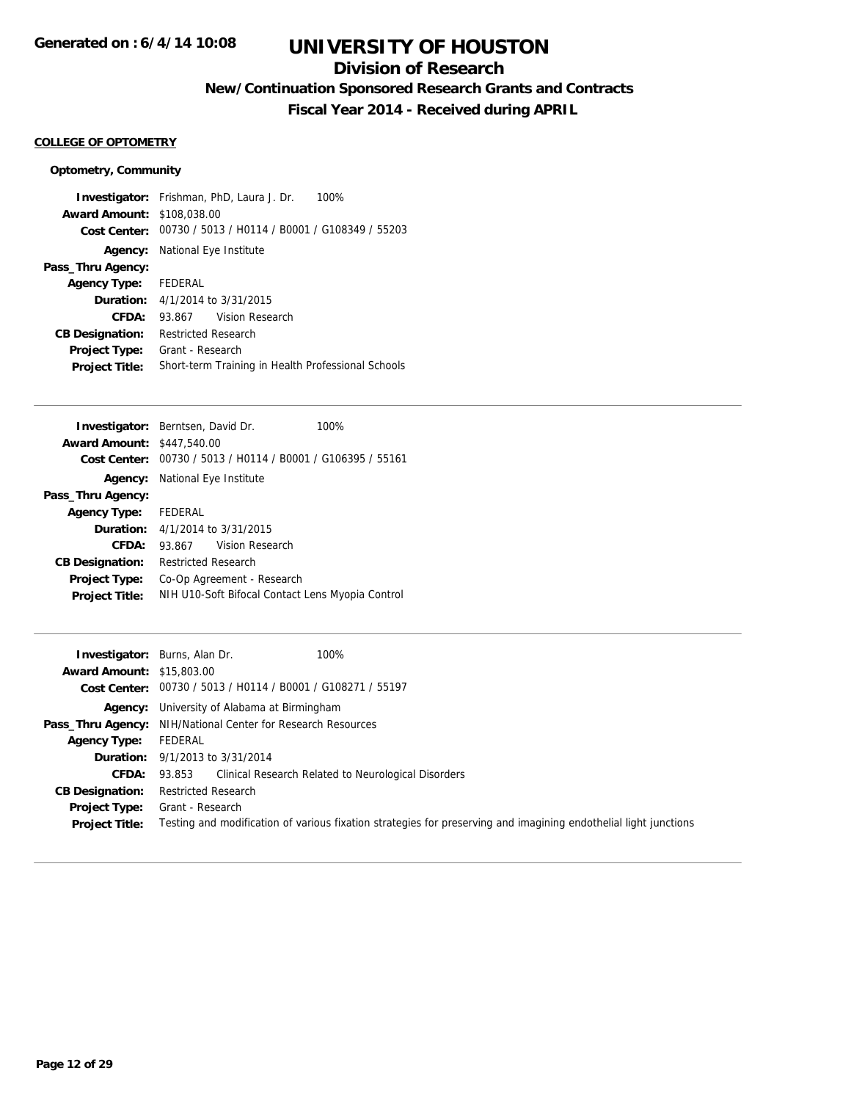## **Division of Research**

**New/Continuation Sponsored Research Grants and Contracts**

**Fiscal Year 2014 - Received during APRIL**

#### **COLLEGE OF OPTOMETRY**

#### **Optometry, Community**

**Investigator:** Frishman, PhD, Laura J. Dr. 100% **Award Amount:** \$108,038.00 **Cost Center:** 00730 / 5013 / H0114 / B0001 / G108349 / 55203 **Agency:** National Eye Institute **Pass\_Thru Agency: Agency Type:** FEDERAL **Duration:** 4/1/2014 to 3/31/2015 **CFDA:** 93.867 Vision Research **CB Designation:** Restricted Research **Project Type:** Grant - Research **Project Title:** Short-term Training in Health Professional Schools

|                                   | <b>Investigator:</b> Berntsen, David Dr.         | 100% |
|-----------------------------------|--------------------------------------------------|------|
| <b>Award Amount: \$447,540.00</b> |                                                  |      |
| Cost Center:                      | 00730 / 5013 / H0114 / B0001 / G106395 / 55161   |      |
|                                   | <b>Agency:</b> National Eye Institute            |      |
| Pass_Thru Agency:                 |                                                  |      |
| Agency Type: FEDERAL              |                                                  |      |
|                                   | <b>Duration:</b> 4/1/2014 to 3/31/2015           |      |
| CFDA:                             | Vision Research<br>93.867                        |      |
| <b>CB Designation:</b>            | <b>Restricted Research</b>                       |      |
| <b>Project Type:</b>              | Co-Op Agreement - Research                       |      |
| <b>Project Title:</b>             | NIH U10-Soft Bifocal Contact Lens Myopia Control |      |

|                                  | <b>Investigator:</b> Burns, Alan Dr.<br>100%                                                                     |
|----------------------------------|------------------------------------------------------------------------------------------------------------------|
| <b>Award Amount: \$15,803.00</b> |                                                                                                                  |
|                                  | Cost Center: 00730 / 5013 / H0114 / B0001 / G108271 / 55197                                                      |
| Agency:                          | University of Alabama at Birmingham                                                                              |
|                                  | Pass_Thru Agency: NIH/National Center for Research Resources                                                     |
| <b>Agency Type:</b>              | FEDERAL                                                                                                          |
|                                  | <b>Duration:</b> 9/1/2013 to 3/31/2014                                                                           |
|                                  | <b>CFDA:</b> 93.853 Clinical Research Related to Neurological Disorders                                          |
| <b>CB Designation:</b>           | <b>Restricted Research</b>                                                                                       |
|                                  | <b>Project Type:</b> Grant - Research                                                                            |
| <b>Project Title:</b>            | Testing and modification of various fixation strategies for preserving and imagining endothelial light junctions |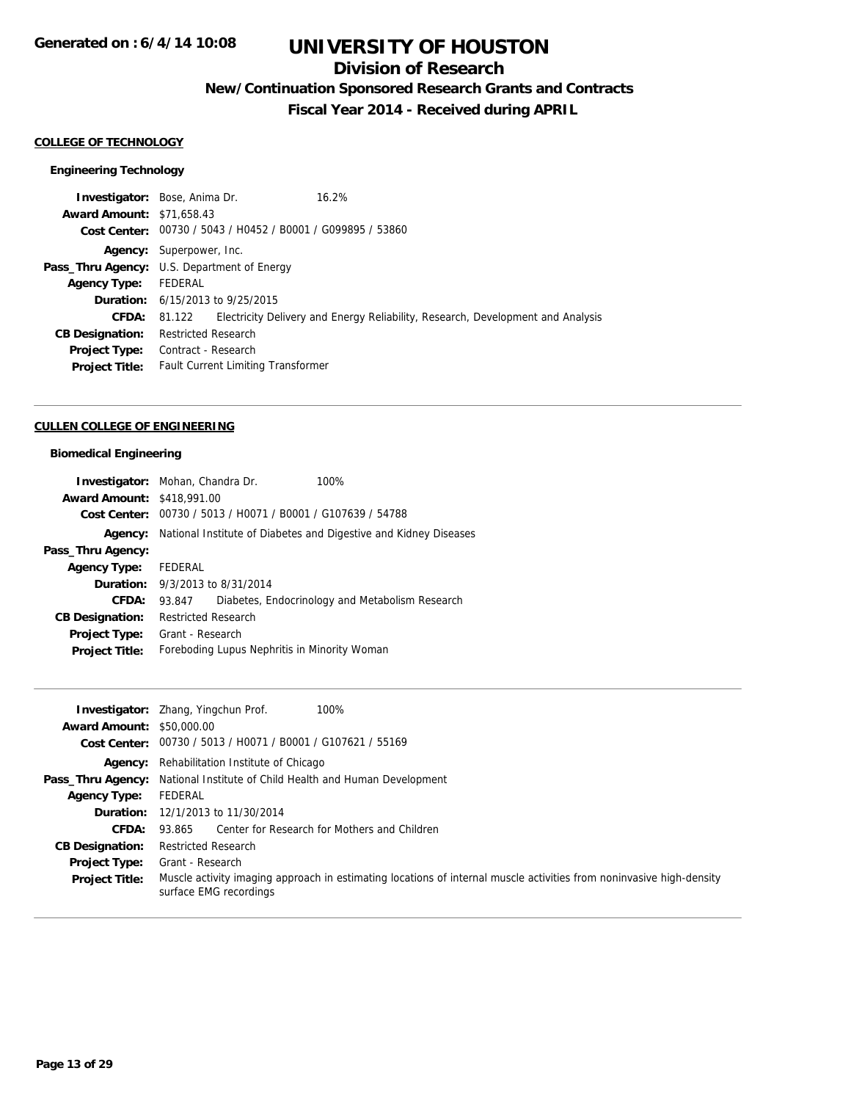## **Division of Research**

**New/Continuation Sponsored Research Grants and Contracts**

**Fiscal Year 2014 - Received during APRIL**

#### **COLLEGE OF TECHNOLOGY**

### **Engineering Technology**

|                                  | <b>Investigator:</b> Bose, Anima Dr.                        | 16.2%                                                                           |
|----------------------------------|-------------------------------------------------------------|---------------------------------------------------------------------------------|
| <b>Award Amount: \$71,658.43</b> |                                                             |                                                                                 |
|                                  | Cost Center: 00730 / 5043 / H0452 / B0001 / G099895 / 53860 |                                                                                 |
|                                  | <b>Agency:</b> Superpower, Inc.                             |                                                                                 |
|                                  | <b>Pass_Thru Agency:</b> U.S. Department of Energy          |                                                                                 |
| <b>Agency Type:</b>              | FEDERAL                                                     |                                                                                 |
|                                  | <b>Duration:</b> 6/15/2013 to 9/25/2015                     |                                                                                 |
| <b>CFDA:</b>                     | 81.122                                                      | Electricity Delivery and Energy Reliability, Research, Development and Analysis |
| <b>CB Designation:</b>           | <b>Restricted Research</b>                                  |                                                                                 |
| <b>Project Type:</b>             | Contract - Research                                         |                                                                                 |
| <b>Project Title:</b>            | <b>Fault Current Limiting Transformer</b>                   |                                                                                 |
|                                  |                                                             |                                                                                 |

#### **CULLEN COLLEGE OF ENGINEERING**

### **Biomedical Engineering**

| <b>Investigator:</b> Mohan, Chandra Dr. |                            |                                                | 100%                                                             |
|-----------------------------------------|----------------------------|------------------------------------------------|------------------------------------------------------------------|
| <b>Award Amount: \$418,991.00</b>       |                            |                                                |                                                                  |
| <b>Cost Center:</b>                     |                            | 00730 / 5013 / H0071 / B0001 / G107639 / 54788 |                                                                  |
| Agency:                                 |                            |                                                | National Institute of Diabetes and Digestive and Kidney Diseases |
| Pass_Thru Agency:                       |                            |                                                |                                                                  |
| <b>Agency Type:</b>                     | FEDERAL                    |                                                |                                                                  |
| <b>Duration:</b> 9/3/2013 to 8/31/2014  |                            |                                                |                                                                  |
| CFDA:                                   | 93.847                     |                                                | Diabetes, Endocrinology and Metabolism Research                  |
| <b>CB Designation:</b>                  | <b>Restricted Research</b> |                                                |                                                                  |
| <b>Project Type:</b>                    | Grant - Research           |                                                |                                                                  |
| <b>Project Title:</b>                   |                            | Foreboding Lupus Nephritis in Minority Woman   |                                                                  |

| <b>Award Amount: \$50,000.00</b> | 100%<br><b>Investigator:</b> Zhang, Yingchun Prof.<br>Cost Center: 00730 / 5013 / H0071 / B0001 / G107621 / 55169                              |
|----------------------------------|------------------------------------------------------------------------------------------------------------------------------------------------|
|                                  | <b>Agency:</b> Rehabilitation Institute of Chicago                                                                                             |
|                                  | <b>Pass_Thru Agency:</b> National Institute of Child Health and Human Development                                                              |
| <b>Agency Type:</b>              | FEDERAL                                                                                                                                        |
|                                  | <b>Duration:</b> 12/1/2013 to 11/30/2014                                                                                                       |
| CFDA:                            | 93.865 Center for Research for Mothers and Children                                                                                            |
| <b>CB Designation:</b>           | Restricted Research                                                                                                                            |
| <b>Project Type:</b>             | Grant - Research                                                                                                                               |
| <b>Project Title:</b>            | Muscle activity imaging approach in estimating locations of internal muscle activities from noninvasive high-density<br>surface EMG recordings |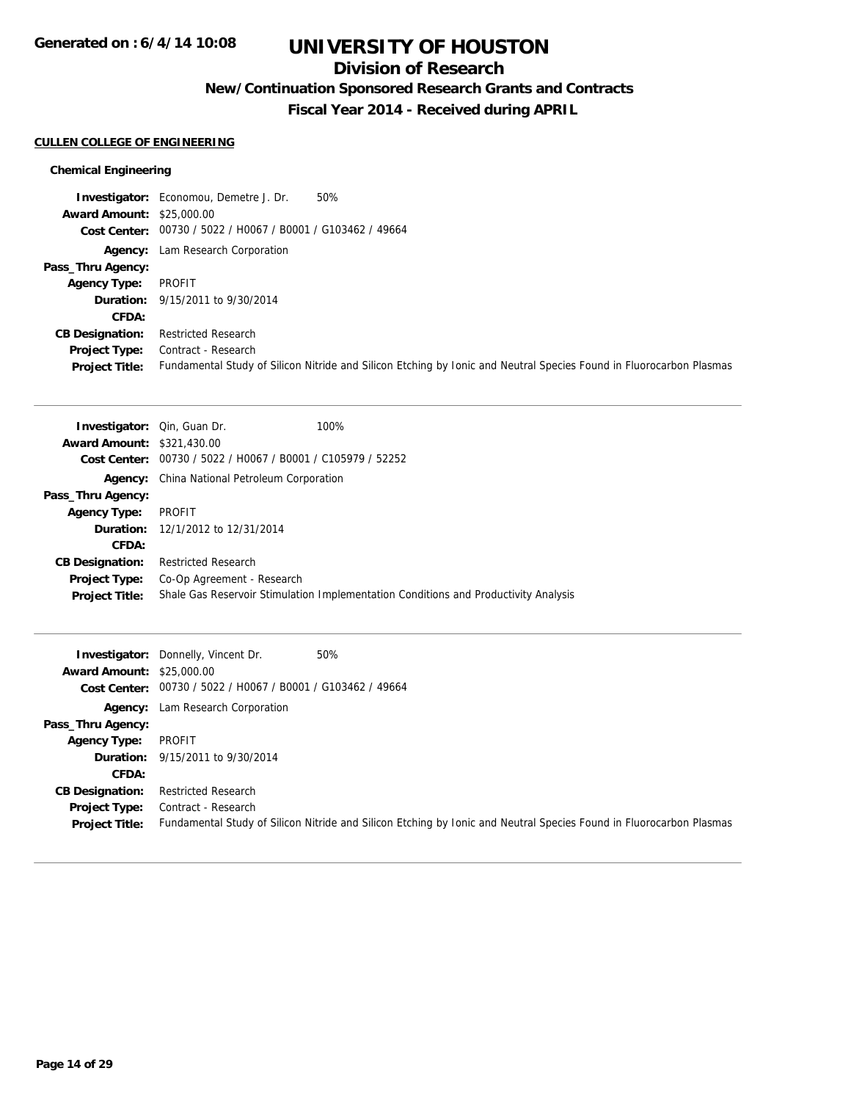## **Division of Research**

**New/Continuation Sponsored Research Grants and Contracts**

**Fiscal Year 2014 - Received during APRIL**

### **CULLEN COLLEGE OF ENGINEERING**

### **Chemical Engineering**

|                                  | 50%<br><b>Investigator:</b> Economou, Demetre J. Dr.                                                                |
|----------------------------------|---------------------------------------------------------------------------------------------------------------------|
| <b>Award Amount: \$25,000.00</b> |                                                                                                                     |
|                                  | Cost Center: 00730 / 5022 / H0067 / B0001 / G103462 / 49664                                                         |
|                                  | Agency: Lam Research Corporation                                                                                    |
| Pass_Thru Agency:                |                                                                                                                     |
| <b>Agency Type:</b>              | PROFIT                                                                                                              |
|                                  | <b>Duration:</b> 9/15/2011 to 9/30/2014                                                                             |
| <b>CFDA:</b>                     |                                                                                                                     |
| <b>CB Designation:</b>           | <b>Restricted Research</b>                                                                                          |
| <b>Project Type:</b>             | Contract - Research                                                                                                 |
| <b>Project Title:</b>            | Fundamental Study of Silicon Nitride and Silicon Etching by Ionic and Neutral Species Found in Fluorocarbon Plasmas |

| 100%<br><b>Investigator:</b> Qin, Guan Dr.                                          |
|-------------------------------------------------------------------------------------|
| <b>Award Amount: \$321,430.00</b>                                                   |
| 00730 / 5022 / H0067 / B0001 / C105979 / 52252<br>Cost Center:                      |
| <b>Agency:</b> China National Petroleum Corporation                                 |
|                                                                                     |
| PROFIT                                                                              |
| <b>Duration:</b> 12/1/2012 to 12/31/2014                                            |
|                                                                                     |
| <b>Restricted Research</b>                                                          |
| Co-Op Agreement - Research                                                          |
| Shale Gas Reservoir Stimulation Implementation Conditions and Productivity Analysis |
|                                                                                     |

| <b>Award Amount: \$25,000.00</b>              | <b>Investigator:</b> Donnelly, Vincent Dr.<br>Cost Center: 00730 / 5022 / H0067 / B0001 / G103462 / 49664 | 50%                                                                                                                 |
|-----------------------------------------------|-----------------------------------------------------------------------------------------------------------|---------------------------------------------------------------------------------------------------------------------|
|                                               | <b>Agency:</b> Lam Research Corporation                                                                   |                                                                                                                     |
| Pass_Thru Agency:                             |                                                                                                           |                                                                                                                     |
| Agency Type:                                  | PROFIT                                                                                                    |                                                                                                                     |
|                                               | <b>Duration:</b> 9/15/2011 to 9/30/2014                                                                   |                                                                                                                     |
| <b>CFDA:</b>                                  |                                                                                                           |                                                                                                                     |
| <b>CB Designation:</b>                        | <b>Restricted Research</b>                                                                                |                                                                                                                     |
| <b>Project Type:</b><br><b>Project Title:</b> | Contract - Research                                                                                       | Fundamental Study of Silicon Nitride and Silicon Etching by Ionic and Neutral Species Found in Fluorocarbon Plasmas |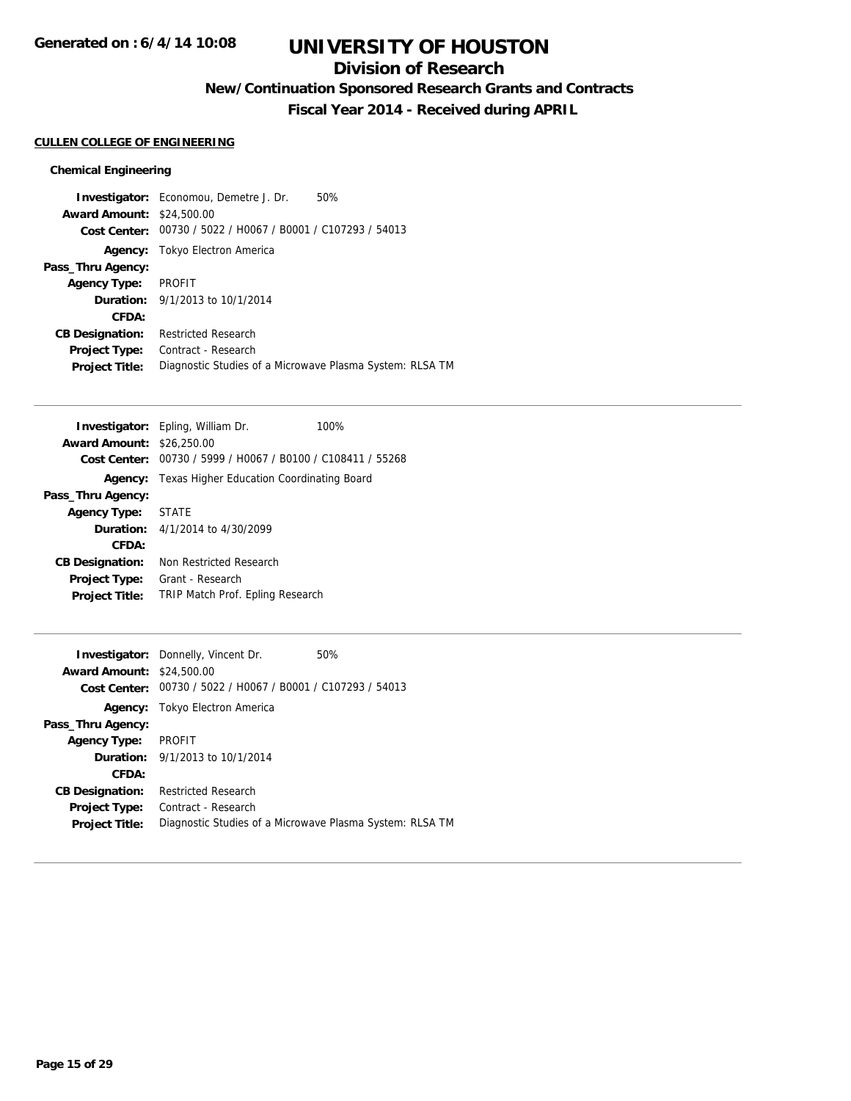## **Division of Research**

**New/Continuation Sponsored Research Grants and Contracts**

**Fiscal Year 2014 - Received during APRIL**

#### **CULLEN COLLEGE OF ENGINEERING**

### **Chemical Engineering**

|                                  | <b>Investigator:</b> Economou, Demetre J. Dr.               | 50% |
|----------------------------------|-------------------------------------------------------------|-----|
| <b>Award Amount: \$24,500.00</b> |                                                             |     |
|                                  | Cost Center: 00730 / 5022 / H0067 / B0001 / C107293 / 54013 |     |
|                                  | Agency: Tokyo Electron America                              |     |
| Pass_Thru Agency:                |                                                             |     |
| Agency Type:                     | PROFIT                                                      |     |
|                                  | <b>Duration:</b> 9/1/2013 to 10/1/2014                      |     |
| CFDA:                            |                                                             |     |
| <b>CB Designation:</b>           | <b>Restricted Research</b>                                  |     |
| <b>Project Type:</b>             | Contract - Research                                         |     |
| <b>Project Title:</b>            | Diagnostic Studies of a Microwave Plasma System: RLSA TM    |     |

|                        | <b>Investigator:</b> Epling, William Dr.       | 100% |
|------------------------|------------------------------------------------|------|
| <b>Award Amount:</b>   | \$26,250.00                                    |      |
| Cost Center:           | 00730 / 5999 / H0067 / B0100 / C108411 / 55268 |      |
| Agency:                | Texas Higher Education Coordinating Board      |      |
| Pass_Thru Agency:      |                                                |      |
| <b>Agency Type:</b>    | <b>STATE</b>                                   |      |
|                        | <b>Duration:</b> $4/1/2014$ to $4/30/2099$     |      |
| CFDA:                  |                                                |      |
| <b>CB Designation:</b> | Non Restricted Research                        |      |
| <b>Project Type:</b>   | Grant - Research                               |      |
| <b>Project Title:</b>  | TRIP Match Prof. Epling Research               |      |
|                        |                                                |      |

|                                  | <b>Investigator:</b> Donnelly, Vincent Dr.                  | 50% |
|----------------------------------|-------------------------------------------------------------|-----|
| <b>Award Amount: \$24,500.00</b> |                                                             |     |
|                                  | Cost Center: 00730 / 5022 / H0067 / B0001 / C107293 / 54013 |     |
|                                  | <b>Agency:</b> Tokyo Electron America                       |     |
| Pass_Thru Agency:                |                                                             |     |
| <b>Agency Type:</b>              | PROFIT                                                      |     |
|                                  | <b>Duration:</b> 9/1/2013 to 10/1/2014                      |     |
| CFDA:                            |                                                             |     |
| <b>CB Designation:</b>           | <b>Restricted Research</b>                                  |     |
| <b>Project Type:</b>             | Contract - Research                                         |     |
| <b>Project Title:</b>            | Diagnostic Studies of a Microwave Plasma System: RLSA TM    |     |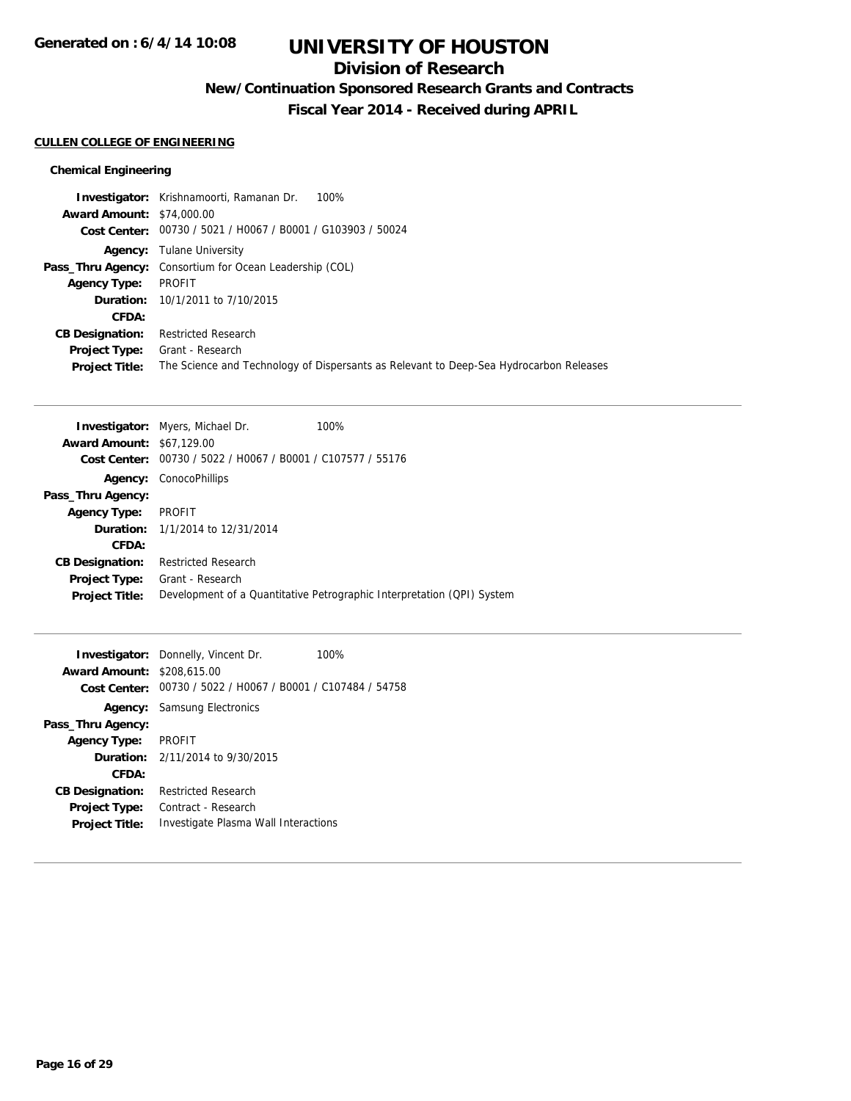## **Division of Research**

**New/Continuation Sponsored Research Grants and Contracts**

**Fiscal Year 2014 - Received during APRIL**

#### **CULLEN COLLEGE OF ENGINEERING**

### **Chemical Engineering**

|                                  | <b>Investigator:</b> Krishnamoorti, Ramanan Dr.<br>100%                                |
|----------------------------------|----------------------------------------------------------------------------------------|
| <b>Award Amount: \$74,000.00</b> |                                                                                        |
|                                  | Cost Center: 00730 / 5021 / H0067 / B0001 / G103903 / 50024                            |
|                                  | <b>Agency:</b> Tulane University                                                       |
|                                  | <b>Pass_Thru Agency:</b> Consortium for Ocean Leadership (COL)                         |
| <b>Agency Type:</b>              | PROFIT                                                                                 |
|                                  | <b>Duration:</b> 10/1/2011 to 7/10/2015                                                |
| CFDA:                            |                                                                                        |
| <b>CB Designation:</b>           | <b>Restricted Research</b>                                                             |
| <b>Project Type:</b>             | Grant - Research                                                                       |
| <b>Project Title:</b>            | The Science and Technology of Dispersants as Relevant to Deep-Sea Hydrocarbon Releases |

| <b>Award Amount: \$67,129.00</b><br>Cost Center: | <b>Investigator:</b> Myers, Michael Dr.<br>00730 / 5022 / H0067 / B0001 / C107577 / 55176 | $100\%$                                                                |
|--------------------------------------------------|-------------------------------------------------------------------------------------------|------------------------------------------------------------------------|
| Agency:                                          | ConocoPhillips                                                                            |                                                                        |
| Pass_Thru Agency:                                |                                                                                           |                                                                        |
| <b>Agency Type:</b>                              | <b>PROFIT</b>                                                                             |                                                                        |
|                                                  | <b>Duration:</b> 1/1/2014 to 12/31/2014                                                   |                                                                        |
| CFDA:                                            |                                                                                           |                                                                        |
| <b>CB Designation:</b>                           | <b>Restricted Research</b>                                                                |                                                                        |
| <b>Project Type:</b>                             | Grant - Research                                                                          |                                                                        |
| <b>Project Title:</b>                            |                                                                                           | Development of a Quantitative Petrographic Interpretation (QPI) System |

|                                   | <b>Investigator:</b> Donnelly, Vincent Dr.                  | 100% |
|-----------------------------------|-------------------------------------------------------------|------|
| <b>Award Amount: \$208,615.00</b> |                                                             |      |
|                                   | Cost Center: 00730 / 5022 / H0067 / B0001 / C107484 / 54758 |      |
|                                   | <b>Agency:</b> Samsung Electronics                          |      |
| Pass_Thru Agency:                 |                                                             |      |
| <b>Agency Type:</b>               | PROFIT                                                      |      |
|                                   | <b>Duration:</b> $2/11/2014$ to $9/30/2015$                 |      |
| CFDA:                             |                                                             |      |
| <b>CB Designation:</b>            | <b>Restricted Research</b>                                  |      |
| <b>Project Type:</b>              | Contract - Research                                         |      |
| <b>Project Title:</b>             | Investigate Plasma Wall Interactions                        |      |
|                                   |                                                             |      |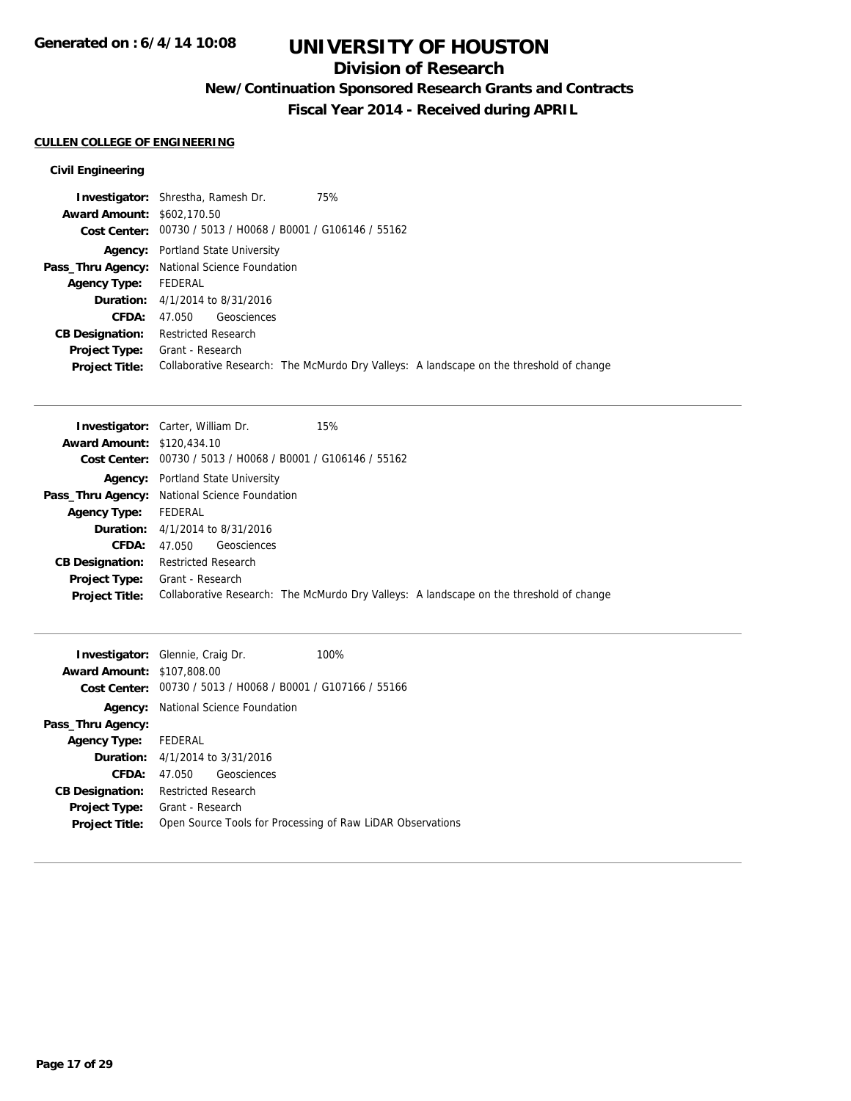## **Division of Research**

**New/Continuation Sponsored Research Grants and Contracts**

**Fiscal Year 2014 - Received during APRIL**

#### **CULLEN COLLEGE OF ENGINEERING**

|                                   | <b>Investigator:</b> Shrestha, Ramesh Dr.<br>75%            |                                                                                         |
|-----------------------------------|-------------------------------------------------------------|-----------------------------------------------------------------------------------------|
| <b>Award Amount: \$602,170.50</b> |                                                             |                                                                                         |
|                                   | Cost Center: 00730 / 5013 / H0068 / B0001 / G106146 / 55162 |                                                                                         |
|                                   | <b>Agency:</b> Portland State University                    |                                                                                         |
|                                   | <b>Pass_Thru Agency:</b> National Science Foundation        |                                                                                         |
| Agency Type: FEDERAL              |                                                             |                                                                                         |
|                                   | <b>Duration:</b> 4/1/2014 to 8/31/2016                      |                                                                                         |
| <b>CFDA:</b>                      | 47.050 Geosciences                                          |                                                                                         |
|                                   | <b>CB Designation:</b> Restricted Research                  |                                                                                         |
| <b>Project Type:</b>              | Grant - Research                                            |                                                                                         |
| <b>Project Title:</b>             |                                                             | Collaborative Research: The McMurdo Dry Valleys: A landscape on the threshold of change |
|                                   |                                                             |                                                                                         |

| <b>Award Amount: \$120,434.10</b><br>Cost Center: 00730 / 5013 / H0068 / B0001 / G106146 / 55162<br><b>Agency:</b> Portland State University<br>Pass_Thru Agency: National Science Foundation<br>FEDERAL<br><b>Agency Type:</b><br><b>Duration:</b> $4/1/2014$ to $8/31/2016$<br>CFDA:<br>47.050 Geosciences<br><b>CB Designation:</b><br><b>Restricted Research</b><br><b>Project Type:</b> Grant - Research<br>Collaborative Research: The McMurdo Dry Valleys: A landscape on the threshold of change |                       | 15%<br><b>Investigator:</b> Carter, William Dr. |
|----------------------------------------------------------------------------------------------------------------------------------------------------------------------------------------------------------------------------------------------------------------------------------------------------------------------------------------------------------------------------------------------------------------------------------------------------------------------------------------------------------|-----------------------|-------------------------------------------------|
|                                                                                                                                                                                                                                                                                                                                                                                                                                                                                                          |                       |                                                 |
|                                                                                                                                                                                                                                                                                                                                                                                                                                                                                                          |                       |                                                 |
|                                                                                                                                                                                                                                                                                                                                                                                                                                                                                                          |                       |                                                 |
|                                                                                                                                                                                                                                                                                                                                                                                                                                                                                                          |                       |                                                 |
|                                                                                                                                                                                                                                                                                                                                                                                                                                                                                                          |                       |                                                 |
|                                                                                                                                                                                                                                                                                                                                                                                                                                                                                                          |                       |                                                 |
|                                                                                                                                                                                                                                                                                                                                                                                                                                                                                                          |                       |                                                 |
|                                                                                                                                                                                                                                                                                                                                                                                                                                                                                                          |                       |                                                 |
|                                                                                                                                                                                                                                                                                                                                                                                                                                                                                                          |                       |                                                 |
|                                                                                                                                                                                                                                                                                                                                                                                                                                                                                                          | <b>Project Title:</b> |                                                 |

|                                   | <b>Investigator:</b> Glennie, Craig Dr.                     | 100% |
|-----------------------------------|-------------------------------------------------------------|------|
| <b>Award Amount: \$107,808.00</b> |                                                             |      |
|                                   | Cost Center: 00730 / 5013 / H0068 / B0001 / G107166 / 55166 |      |
|                                   | <b>Agency:</b> National Science Foundation                  |      |
| Pass_Thru Agency:                 |                                                             |      |
| Agency Type: FEDERAL              |                                                             |      |
|                                   | <b>Duration:</b> 4/1/2014 to 3/31/2016                      |      |
| <b>CFDA:</b>                      | 47.050 Geosciences                                          |      |
| <b>CB Designation:</b>            | Restricted Research                                         |      |
| <b>Project Type:</b>              | Grant - Research                                            |      |
| <b>Project Title:</b>             | Open Source Tools for Processing of Raw LiDAR Observations  |      |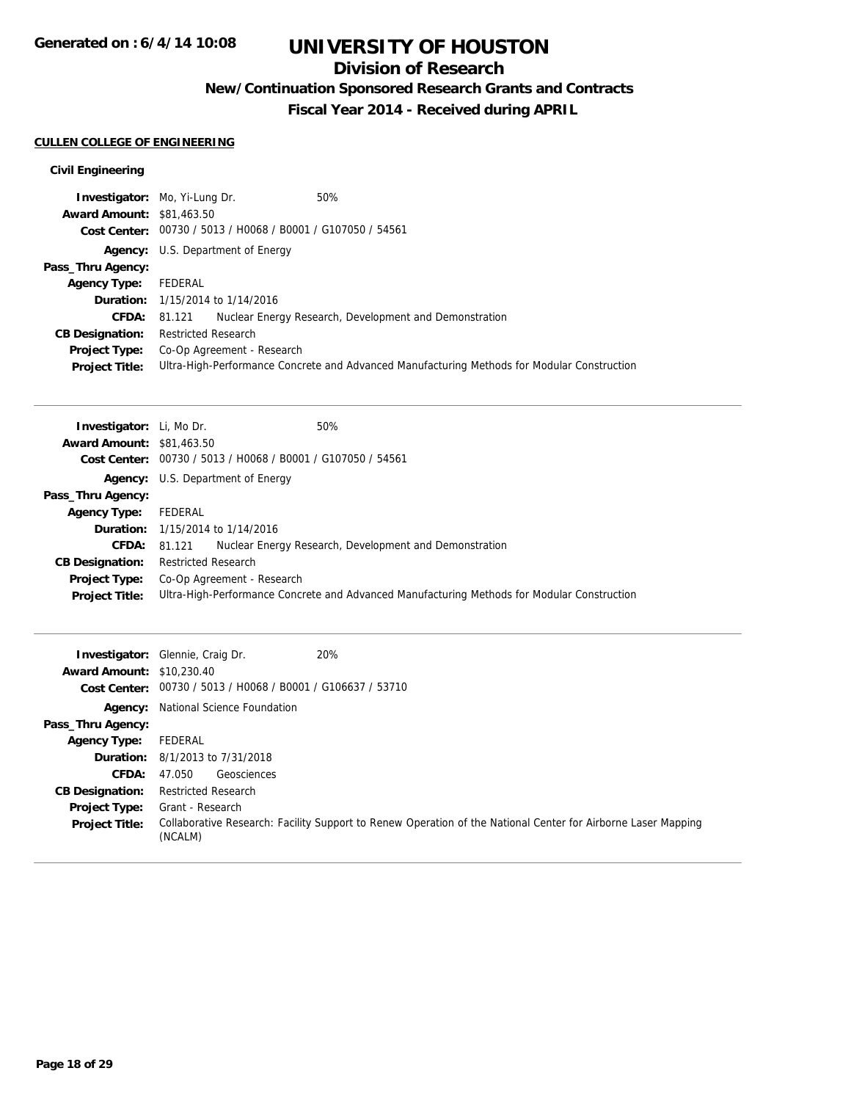## **Division of Research**

**New/Continuation Sponsored Research Grants and Contracts**

**Fiscal Year 2014 - Received during APRIL**

#### **CULLEN COLLEGE OF ENGINEERING**

|                                  | 50%<br><b>Investigator:</b> Mo, Yi-Lung Dr.                                                 |  |
|----------------------------------|---------------------------------------------------------------------------------------------|--|
| <b>Award Amount: \$81,463.50</b> |                                                                                             |  |
|                                  | Cost Center: 00730 / 5013 / H0068 / B0001 / G107050 / 54561                                 |  |
|                                  | <b>Agency:</b> U.S. Department of Energy                                                    |  |
| Pass_Thru Agency:                |                                                                                             |  |
| <b>Agency Type:</b>              | FEDERAL                                                                                     |  |
|                                  | <b>Duration:</b> 1/15/2014 to 1/14/2016                                                     |  |
|                                  | Nuclear Energy Research, Development and Demonstration<br><b>CFDA: 81.121</b>               |  |
| <b>CB Designation:</b>           | <b>Restricted Research</b>                                                                  |  |
| <b>Project Type:</b>             | Co-Op Agreement - Research                                                                  |  |
| <b>Project Title:</b>            | Ultra-High-Performance Concrete and Advanced Manufacturing Methods for Modular Construction |  |

| <b>Investigator:</b> Li, Mo Dr.  | 50%                                                         |                                                                                             |
|----------------------------------|-------------------------------------------------------------|---------------------------------------------------------------------------------------------|
| <b>Award Amount: \$81,463.50</b> |                                                             |                                                                                             |
|                                  | Cost Center: 00730 / 5013 / H0068 / B0001 / G107050 / 54561 |                                                                                             |
|                                  | <b>Agency:</b> U.S. Department of Energy                    |                                                                                             |
| Pass_Thru Agency:                |                                                             |                                                                                             |
| <b>Agency Type:</b>              | FEDERAL                                                     |                                                                                             |
|                                  | <b>Duration:</b> 1/15/2014 to 1/14/2016                     |                                                                                             |
| <b>CFDA:</b>                     | 81.121                                                      | Nuclear Energy Research, Development and Demonstration                                      |
| <b>CB Designation:</b>           | <b>Restricted Research</b>                                  |                                                                                             |
| Project Type:                    | Co-Op Agreement - Research                                  |                                                                                             |
| <b>Project Title:</b>            |                                                             | Ultra-High-Performance Concrete and Advanced Manufacturing Methods for Modular Construction |

| <b>Award Amount: \$10,230.40</b> | 20%<br><b>Investigator:</b> Glennie, Craig Dr.<br>Cost Center: 00730 / 5013 / H0068 / B0001 / G106637 / 53710            |
|----------------------------------|--------------------------------------------------------------------------------------------------------------------------|
|                                  | <b>Agency:</b> National Science Foundation                                                                               |
| Pass_Thru Agency:                |                                                                                                                          |
| <b>Agency Type:</b>              | FEDERAL                                                                                                                  |
|                                  | <b>Duration:</b> 8/1/2013 to 7/31/2018                                                                                   |
| <b>CFDA:</b>                     | Geosciences<br>47.050                                                                                                    |
| <b>CB Designation:</b>           | Restricted Research                                                                                                      |
| <b>Project Type:</b>             | Grant - Research                                                                                                         |
| <b>Project Title:</b>            | Collaborative Research: Facility Support to Renew Operation of the National Center for Airborne Laser Mapping<br>(NCALM) |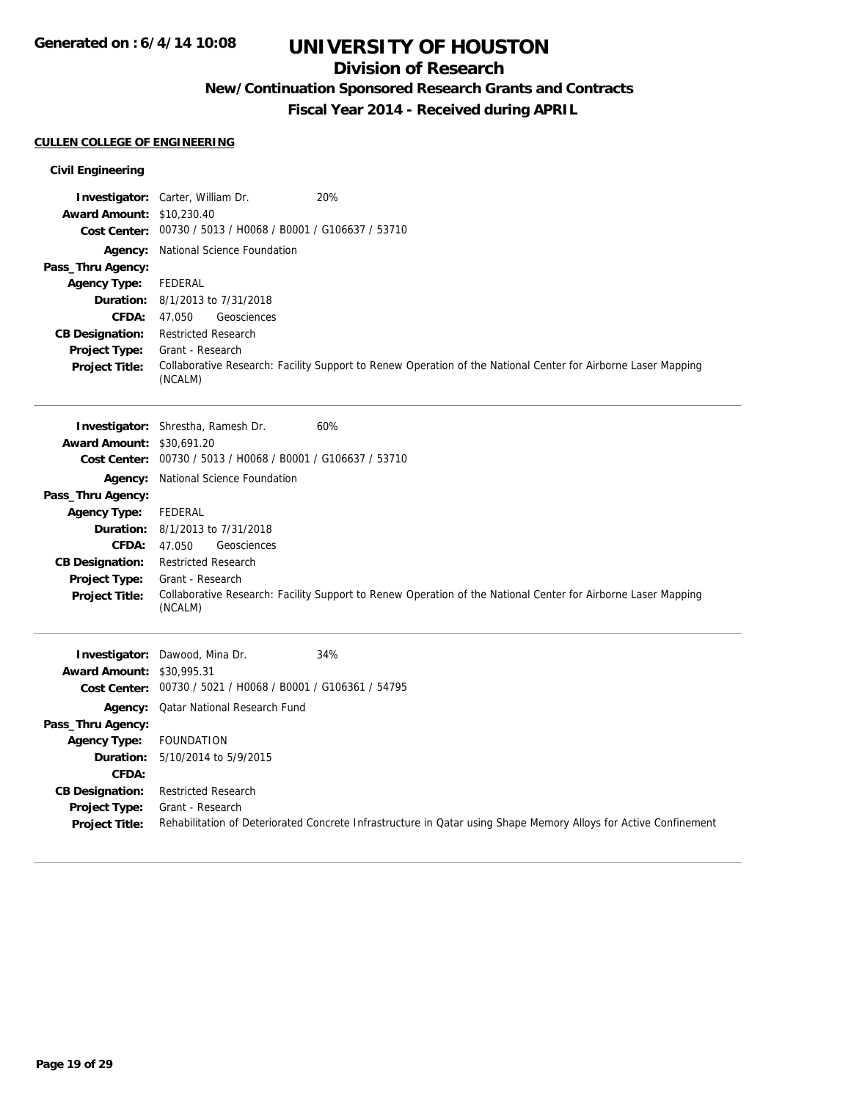## **Division of Research**

**New/Continuation Sponsored Research Grants and Contracts**

**Fiscal Year 2014 - Received during APRIL**

#### **CULLEN COLLEGE OF ENGINEERING**

|                                               | Investigator: Carter, William Dr.                           | 20%                                                                                                              |
|-----------------------------------------------|-------------------------------------------------------------|------------------------------------------------------------------------------------------------------------------|
| <b>Award Amount: \$10,230.40</b>              | Cost Center: 00730 / 5013 / H0068 / B0001 / G106637 / 53710 |                                                                                                                  |
|                                               |                                                             |                                                                                                                  |
| Pass_Thru Agency:                             | Agency: National Science Foundation                         |                                                                                                                  |
| <b>Agency Type:</b>                           | FEDERAL                                                     |                                                                                                                  |
|                                               | <b>Duration:</b> 8/1/2013 to 7/31/2018                      |                                                                                                                  |
| <b>CFDA:</b>                                  | 47.050<br>Geosciences                                       |                                                                                                                  |
| <b>CB Designation:</b>                        | <b>Restricted Research</b>                                  |                                                                                                                  |
| <b>Project Type:</b>                          | Grant - Research                                            |                                                                                                                  |
| <b>Project Title:</b>                         | (NCALM)                                                     | Collaborative Research: Facility Support to Renew Operation of the National Center for Airborne Laser Mapping    |
|                                               | <b>Investigator:</b> Shrestha, Ramesh Dr.                   | 60%                                                                                                              |
| <b>Award Amount: \$30,691.20</b>              |                                                             |                                                                                                                  |
|                                               | Cost Center: 00730 / 5013 / H0068 / B0001 / G106637 / 53710 |                                                                                                                  |
|                                               | Agency: National Science Foundation                         |                                                                                                                  |
| Pass_Thru Agency:                             |                                                             |                                                                                                                  |
| <b>Agency Type:</b>                           | <b>FEDERAL</b>                                              |                                                                                                                  |
| Duration:                                     | 8/1/2013 to 7/31/2018                                       |                                                                                                                  |
| <b>CFDA:</b>                                  | 47.050<br>Geosciences                                       |                                                                                                                  |
| <b>CB Designation:</b>                        | <b>Restricted Research</b><br>Grant - Research              |                                                                                                                  |
| <b>Project Type:</b><br><b>Project Title:</b> | (NCALM)                                                     | Collaborative Research: Facility Support to Renew Operation of the National Center for Airborne Laser Mapping    |
|                                               | Investigator: Dawood, Mina Dr.                              | 34%                                                                                                              |
| Award Amount: \$30,995.31                     |                                                             |                                                                                                                  |
|                                               | Cost Center: 00730 / 5021 / H0068 / B0001 / G106361 / 54795 |                                                                                                                  |
|                                               | Agency: Qatar National Research Fund                        |                                                                                                                  |
| Pass_Thru Agency:                             |                                                             |                                                                                                                  |
| <b>Agency Type:</b>                           | <b>FOUNDATION</b>                                           |                                                                                                                  |
| Duration:                                     | 5/10/2014 to 5/9/2015                                       |                                                                                                                  |
| CFDA:                                         |                                                             |                                                                                                                  |
| <b>CB Designation:</b>                        | <b>Restricted Research</b>                                  |                                                                                                                  |
| Project Type:                                 | Grant - Research                                            |                                                                                                                  |
| <b>Project Title:</b>                         |                                                             | Rehabilitation of Deteriorated Concrete Infrastructure in Qatar using Shape Memory Alloys for Active Confinement |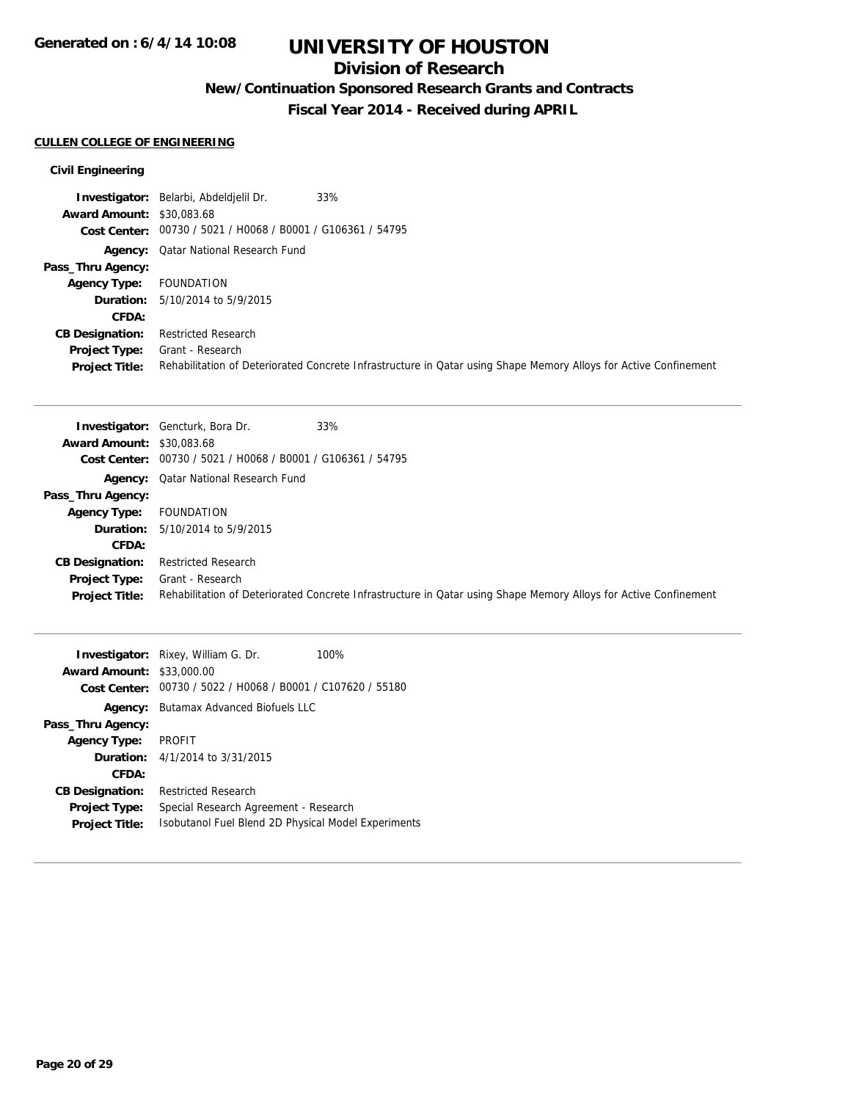## **Division of Research**

**New/Continuation Sponsored Research Grants and Contracts**

**Fiscal Year 2014 - Received during APRIL**

#### **CULLEN COLLEGE OF ENGINEERING**

|                                  | 33%<br><b>Investigator:</b> Belarbi, Abdeldielil Dr.                                                             |
|----------------------------------|------------------------------------------------------------------------------------------------------------------|
| <b>Award Amount: \$30,083.68</b> |                                                                                                                  |
|                                  | Cost Center: 00730 / 5021 / H0068 / B0001 / G106361 / 54795                                                      |
|                                  | <b>Agency:</b> Qatar National Research Fund                                                                      |
| Pass_Thru Agency:                |                                                                                                                  |
| <b>Agency Type:</b>              | FOUNDATION                                                                                                       |
|                                  | <b>Duration:</b> 5/10/2014 to 5/9/2015                                                                           |
| CFDA:                            |                                                                                                                  |
| <b>CB Designation:</b>           | <b>Restricted Research</b>                                                                                       |
| Project Type:                    | Grant - Research                                                                                                 |
| <b>Project Title:</b>            | Rehabilitation of Deteriorated Concrete Infrastructure in Qatar using Shape Memory Alloys for Active Confinement |

|                                  | <b>Investigator:</b> Gencturk, Bora Dr.                     | 33%                                                                                                              |
|----------------------------------|-------------------------------------------------------------|------------------------------------------------------------------------------------------------------------------|
| <b>Award Amount: \$30,083.68</b> |                                                             |                                                                                                                  |
|                                  | Cost Center: 00730 / 5021 / H0068 / B0001 / G106361 / 54795 |                                                                                                                  |
|                                  | <b>Agency:</b> Qatar National Research Fund                 |                                                                                                                  |
| Pass_Thru Agency:                |                                                             |                                                                                                                  |
| <b>Agency Type:</b>              | FOUNDATION                                                  |                                                                                                                  |
|                                  | <b>Duration:</b> 5/10/2014 to 5/9/2015                      |                                                                                                                  |
| CFDA:                            |                                                             |                                                                                                                  |
| <b>CB Designation:</b>           | Restricted Research                                         |                                                                                                                  |
| <b>Project Type:</b>             | Grant - Research                                            |                                                                                                                  |
| <b>Project Title:</b>            |                                                             | Rehabilitation of Deteriorated Concrete Infrastructure in Qatar using Shape Memory Alloys for Active Confinement |

|                                  | <b>Investigator:</b> Rixey, William G. Dr.<br>100%  |
|----------------------------------|-----------------------------------------------------|
| <b>Award Amount: \$33,000.00</b> |                                                     |
| Cost Center:                     | 00730 / 5022 / H0068 / B0001 / C107620 / 55180      |
| Agency:                          | <b>Butamax Advanced Biofuels LLC</b>                |
| Pass_Thru Agency:                |                                                     |
| <b>Agency Type:</b>              | <b>PROFIT</b>                                       |
|                                  | <b>Duration:</b> 4/1/2014 to 3/31/2015              |
| CFDA:                            |                                                     |
| <b>CB Designation:</b>           | <b>Restricted Research</b>                          |
| <b>Project Type:</b>             | Special Research Agreement - Research               |
| <b>Project Title:</b>            | Isobutanol Fuel Blend 2D Physical Model Experiments |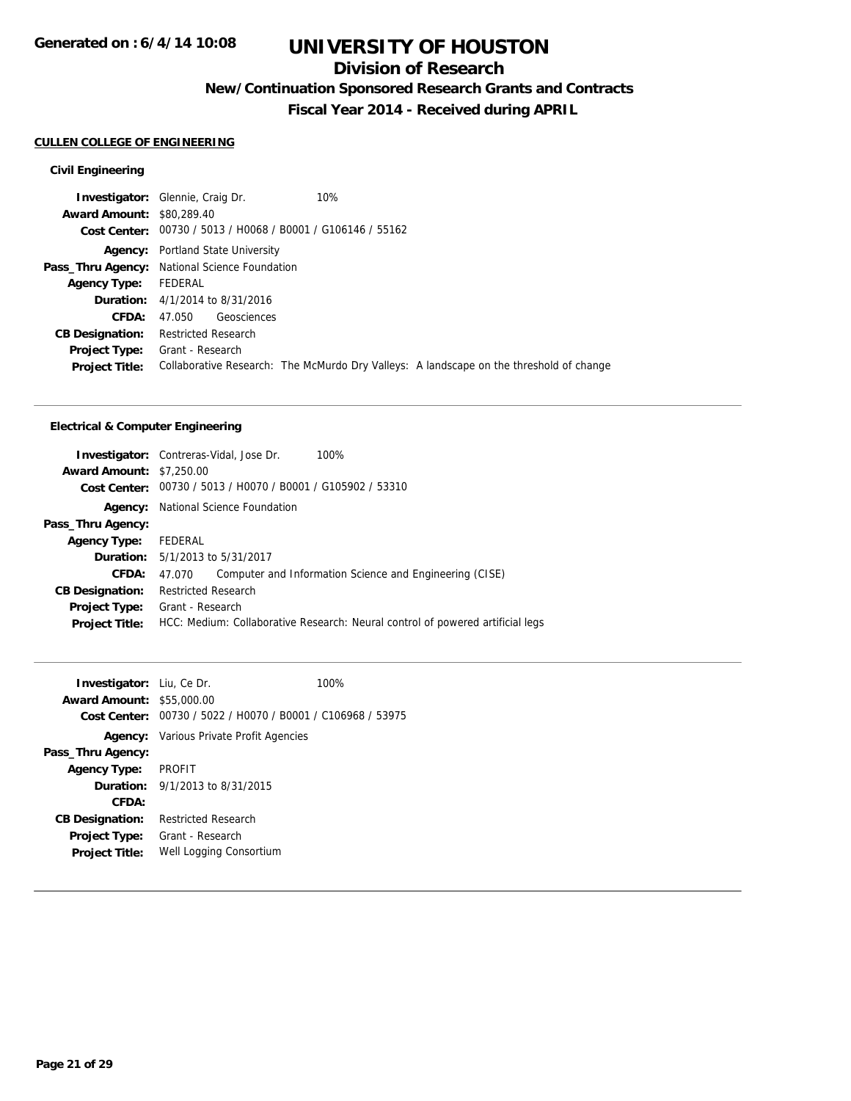## **Division of Research**

**New/Continuation Sponsored Research Grants and Contracts**

**Fiscal Year 2014 - Received during APRIL**

#### **CULLEN COLLEGE OF ENGINEERING**

### **Civil Engineering**

|                                  | <b>Investigator:</b> Glennie, Craig Dr.                     | 10%                                                                                     |
|----------------------------------|-------------------------------------------------------------|-----------------------------------------------------------------------------------------|
| <b>Award Amount: \$80,289.40</b> |                                                             |                                                                                         |
|                                  | Cost Center: 00730 / 5013 / H0068 / B0001 / G106146 / 55162 |                                                                                         |
|                                  | <b>Agency:</b> Portland State University                    |                                                                                         |
|                                  | Pass_Thru Agency: National Science Foundation               |                                                                                         |
| Agency Type: FEDERAL             |                                                             |                                                                                         |
|                                  | <b>Duration:</b> 4/1/2014 to 8/31/2016                      |                                                                                         |
| CFDA:                            | Geosciences<br>47.050                                       |                                                                                         |
| <b>CB Designation:</b>           | Restricted Research                                         |                                                                                         |
| <b>Project Type:</b>             | Grant - Research                                            |                                                                                         |
| <b>Project Title:</b>            |                                                             | Collaborative Research: The McMurdo Dry Valleys: A landscape on the threshold of change |
|                                  |                                                             |                                                                                         |

#### **Electrical & Computer Engineering**

| <b>Award Amount: \$7,250.00</b><br>Cost Center: 00730 / 5013 / H0070 / B0001 / G105902 / 53310<br>National Science Foundation<br>Agency:<br>Pass_Thru Agency:<br>FEDERAL<br><b>Agency Type:</b><br><b>Duration:</b> 5/1/2013 to 5/31/2017<br><b>CFDA:</b><br>Computer and Information Science and Engineering (CISE)<br>47.070<br><b>Restricted Research</b><br><b>CB Designation:</b><br>Grant - Research<br><b>Project Type:</b><br>HCC: Medium: Collaborative Research: Neural control of powered artificial legs<br><b>Project Title:</b> | <b>Investigator:</b> Contreras-Vidal, Jose Dr. |  |  | 100% |
|-----------------------------------------------------------------------------------------------------------------------------------------------------------------------------------------------------------------------------------------------------------------------------------------------------------------------------------------------------------------------------------------------------------------------------------------------------------------------------------------------------------------------------------------------|------------------------------------------------|--|--|------|
|                                                                                                                                                                                                                                                                                                                                                                                                                                                                                                                                               |                                                |  |  |      |
|                                                                                                                                                                                                                                                                                                                                                                                                                                                                                                                                               |                                                |  |  |      |
|                                                                                                                                                                                                                                                                                                                                                                                                                                                                                                                                               |                                                |  |  |      |
|                                                                                                                                                                                                                                                                                                                                                                                                                                                                                                                                               |                                                |  |  |      |
|                                                                                                                                                                                                                                                                                                                                                                                                                                                                                                                                               |                                                |  |  |      |
|                                                                                                                                                                                                                                                                                                                                                                                                                                                                                                                                               |                                                |  |  |      |
|                                                                                                                                                                                                                                                                                                                                                                                                                                                                                                                                               |                                                |  |  |      |
|                                                                                                                                                                                                                                                                                                                                                                                                                                                                                                                                               |                                                |  |  |      |
|                                                                                                                                                                                                                                                                                                                                                                                                                                                                                                                                               |                                                |  |  |      |
|                                                                                                                                                                                                                                                                                                                                                                                                                                                                                                                                               |                                                |  |  |      |

| <b>Investigator:</b> Liu, Ce Dr.<br><b>Award Amount: \$55,000.00</b> |                                                             | 100% |
|----------------------------------------------------------------------|-------------------------------------------------------------|------|
|                                                                      | Cost Center: 00730 / 5022 / H0070 / B0001 / C106968 / 53975 |      |
|                                                                      | <b>Agency:</b> Various Private Profit Agencies              |      |
| Pass_Thru Agency:                                                    |                                                             |      |
| <b>Agency Type:</b>                                                  | PROFIT                                                      |      |
|                                                                      | <b>Duration:</b> $9/1/2013$ to $8/31/2015$                  |      |
| CFDA:                                                                |                                                             |      |
| <b>CB Designation:</b>                                               | <b>Restricted Research</b>                                  |      |
| Project Type:                                                        | Grant - Research                                            |      |
| <b>Project Title:</b>                                                | Well Logging Consortium                                     |      |
|                                                                      |                                                             |      |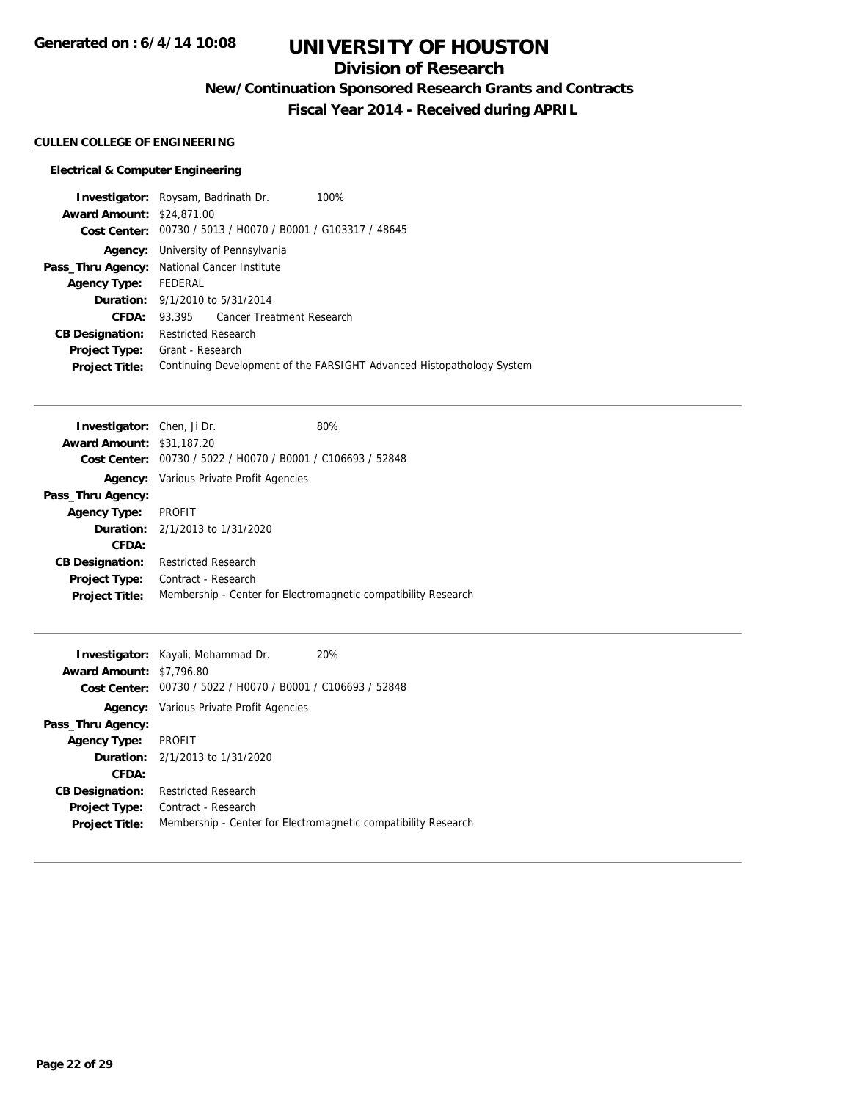## **Division of Research**

**New/Continuation Sponsored Research Grants and Contracts**

**Fiscal Year 2014 - Received during APRIL**

### **CULLEN COLLEGE OF ENGINEERING**

### **Electrical & Computer Engineering**

| <b>Investigator:</b> Roysam, Badrinath Dr.  |                            |                                                             | 100%                                                                  |
|---------------------------------------------|----------------------------|-------------------------------------------------------------|-----------------------------------------------------------------------|
| <b>Award Amount: \$24,871,00</b>            |                            |                                                             |                                                                       |
|                                             |                            | Cost Center: 00730 / 5013 / H0070 / B0001 / G103317 / 48645 |                                                                       |
|                                             |                            | <b>Agency:</b> University of Pennsylvania                   |                                                                       |
| Pass_Thru Agency: National Cancer Institute |                            |                                                             |                                                                       |
| Agency Type: FEDERAL                        |                            |                                                             |                                                                       |
|                                             |                            | <b>Duration:</b> 9/1/2010 to 5/31/2014                      |                                                                       |
| CFDA:                                       |                            | 93.395 Cancer Treatment Research                            |                                                                       |
| <b>CB Designation:</b>                      | <b>Restricted Research</b> |                                                             |                                                                       |
| <b>Project Type:</b>                        | Grant - Research           |                                                             |                                                                       |
| <b>Project Title:</b>                       |                            |                                                             | Continuing Development of the FARSIGHT Advanced Histopathology System |
|                                             |                            |                                                             |                                                                       |

| <b>Investigator:</b> Chen, Ji Dr. |                                                | 80%                                                            |
|-----------------------------------|------------------------------------------------|----------------------------------------------------------------|
| <b>Award Amount: \$31,187.20</b>  |                                                |                                                                |
| <b>Cost Center:</b>               | 00730 / 5022 / H0070 / B0001 / C106693 / 52848 |                                                                |
| Agency:                           | Various Private Profit Agencies                |                                                                |
| Pass_Thru Agency:                 |                                                |                                                                |
| <b>Agency Type:</b>               | <b>PROFIT</b>                                  |                                                                |
|                                   | <b>Duration:</b> $2/1/2013$ to $1/31/2020$     |                                                                |
| CFDA:                             |                                                |                                                                |
| <b>CB Designation:</b>            | <b>Restricted Research</b>                     |                                                                |
| <b>Project Type:</b>              | Contract - Research                            |                                                                |
| <b>Project Title:</b>             |                                                | Membership - Center for Electromagnetic compatibility Research |

|                                 | <b>Investigator:</b> Kayali, Mohammad Dr.                   | 20%                                                            |
|---------------------------------|-------------------------------------------------------------|----------------------------------------------------------------|
| <b>Award Amount: \$7,796.80</b> |                                                             |                                                                |
|                                 | Cost Center: 00730 / 5022 / H0070 / B0001 / C106693 / 52848 |                                                                |
|                                 | <b>Agency:</b> Various Private Profit Agencies              |                                                                |
| Pass_Thru Agency:               |                                                             |                                                                |
| <b>Agency Type:</b>             | PROFIT                                                      |                                                                |
|                                 | <b>Duration:</b> 2/1/2013 to 1/31/2020                      |                                                                |
| CFDA:                           |                                                             |                                                                |
| <b>CB Designation:</b>          | <b>Restricted Research</b>                                  |                                                                |
| Project Type:                   | Contract - Research                                         |                                                                |
| <b>Project Title:</b>           |                                                             | Membership - Center for Electromagnetic compatibility Research |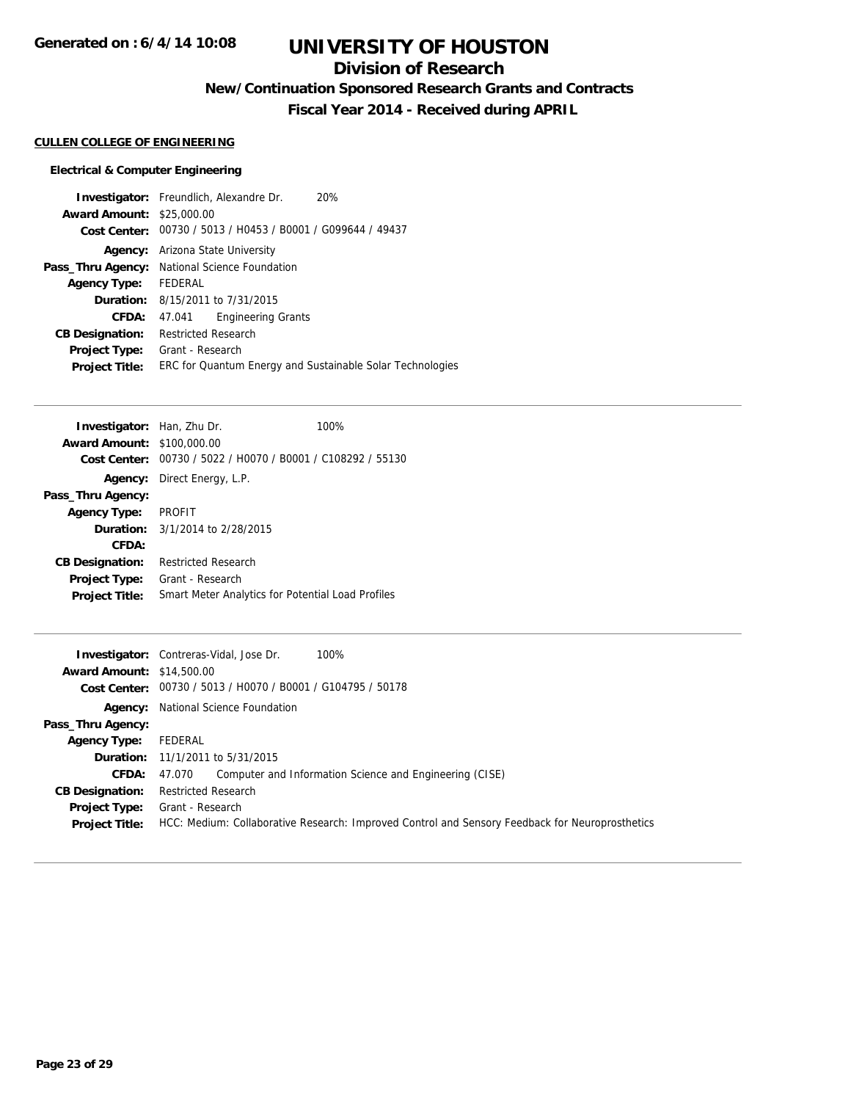## **Division of Research**

**New/Continuation Sponsored Research Grants and Contracts**

**Fiscal Year 2014 - Received during APRIL**

### **CULLEN COLLEGE OF ENGINEERING**

### **Electrical & Computer Engineering**

| <b>Investigator:</b> Freundlich, Alexandre Dr.              | 20% |
|-------------------------------------------------------------|-----|
| <b>Award Amount: \$25,000.00</b>                            |     |
| Cost Center: 00730 / 5013 / H0453 / B0001 / G099644 / 49437 |     |
| <b>Agency:</b> Arizona State University                     |     |
| <b>Pass_Thru Agency:</b> National Science Foundation        |     |
| FEDERAL                                                     |     |
| <b>Duration:</b> 8/15/2011 to 7/31/2015                     |     |
| <b>Engineering Grants</b><br>47.041                         |     |
| <b>Restricted Research</b>                                  |     |
| Grant - Research                                            |     |
| ERC for Quantum Energy and Sustainable Solar Technologies   |     |
|                                                             |     |

| <b>Investigator:</b> Han, Zhu Dr.                           | 100% |
|-------------------------------------------------------------|------|
| <b>Award Amount: \$100,000.00</b>                           |      |
| Cost Center: 00730 / 5022 / H0070 / B0001 / C108292 / 55130 |      |
| <b>Agency:</b> Direct Energy, L.P.                          |      |
|                                                             |      |
| Agency Type: PROFIT                                         |      |
| <b>Duration:</b> 3/1/2014 to 2/28/2015                      |      |
|                                                             |      |
| <b>Restricted Research</b>                                  |      |
| Grant - Research                                            |      |
| Smart Meter Analytics for Potential Load Profiles           |      |
|                                                             |      |

|                                  | 100%<br><b>Investigator:</b> Contreras-Vidal, Jose Dr.                                          |
|----------------------------------|-------------------------------------------------------------------------------------------------|
| <b>Award Amount: \$14,500.00</b> |                                                                                                 |
|                                  | Cost Center: 00730 / 5013 / H0070 / B0001 / G104795 / 50178                                     |
|                                  | <b>Agency:</b> National Science Foundation                                                      |
| Pass_Thru Agency:                |                                                                                                 |
| <b>Agency Type:</b>              | FEDERAL                                                                                         |
|                                  | <b>Duration:</b> 11/1/2011 to 5/31/2015                                                         |
| <b>CFDA:</b>                     | Computer and Information Science and Engineering (CISE)<br>47.070                               |
| <b>CB Designation:</b>           | <b>Restricted Research</b>                                                                      |
| <b>Project Type:</b>             | Grant - Research                                                                                |
| <b>Project Title:</b>            | HCC: Medium: Collaborative Research: Improved Control and Sensory Feedback for Neuroprosthetics |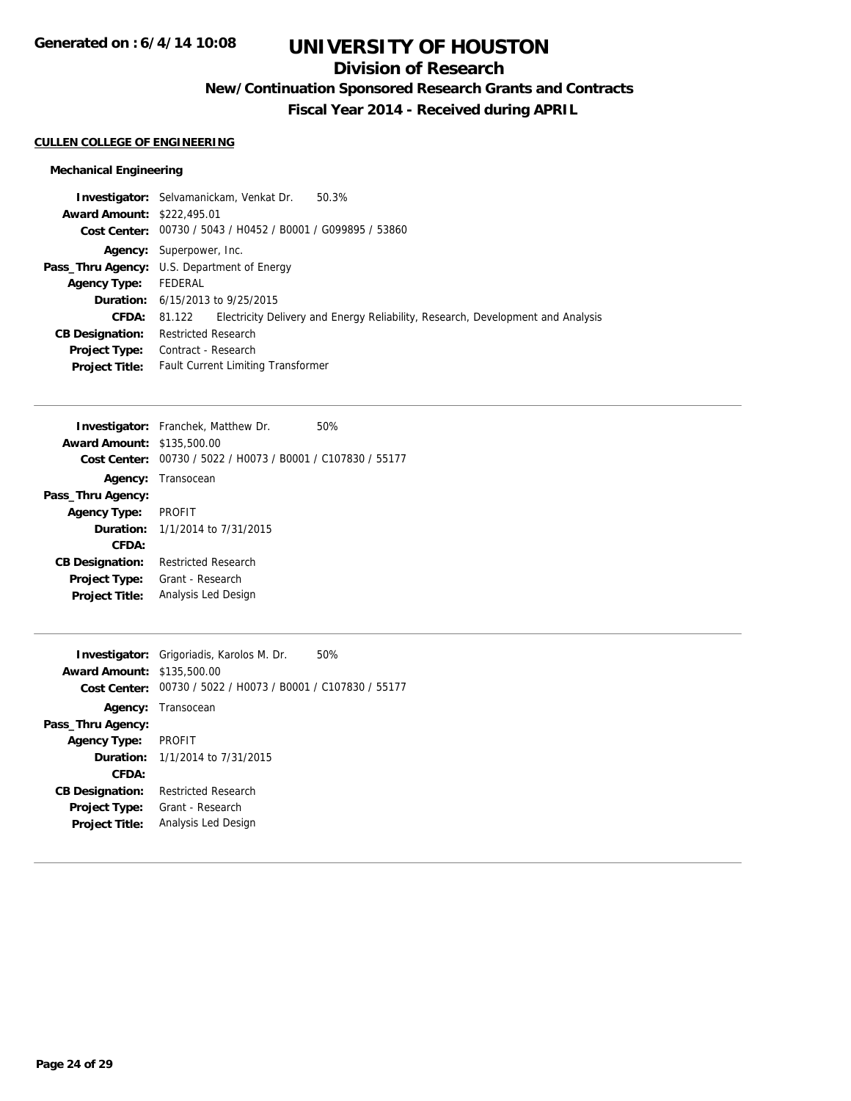## **Division of Research**

**New/Continuation Sponsored Research Grants and Contracts**

**Fiscal Year 2014 - Received during APRIL**

#### **CULLEN COLLEGE OF ENGINEERING**

### **Mechanical Engineering**

|                                   | <b>Investigator:</b> Selvamanickam, Venkat Dr.              | 50.3%                                                                           |
|-----------------------------------|-------------------------------------------------------------|---------------------------------------------------------------------------------|
| <b>Award Amount: \$222,495.01</b> |                                                             |                                                                                 |
|                                   | Cost Center: 00730 / 5043 / H0452 / B0001 / G099895 / 53860 |                                                                                 |
|                                   | Agency: Superpower, Inc.                                    |                                                                                 |
|                                   | <b>Pass_Thru Agency:</b> U.S. Department of Energy          |                                                                                 |
| <b>Agency Type:</b>               | FEDERAL                                                     |                                                                                 |
|                                   | <b>Duration:</b> 6/15/2013 to 9/25/2015                     |                                                                                 |
| <b>CFDA:</b>                      | 81.122                                                      | Electricity Delivery and Energy Reliability, Research, Development and Analysis |
| <b>CB Designation:</b>            | <b>Restricted Research</b>                                  |                                                                                 |
| <b>Project Type:</b>              | Contract - Research                                         |                                                                                 |
| <b>Project Title:</b>             | <b>Fault Current Limiting Transformer</b>                   |                                                                                 |

|                                   | <b>Investigator:</b> Franchek, Matthew Dr.     | 50% |
|-----------------------------------|------------------------------------------------|-----|
| <b>Award Amount: \$135,500.00</b> |                                                |     |
| Cost Center:                      | 00730 / 5022 / H0073 / B0001 / C107830 / 55177 |     |
| Agency:                           | Transocean                                     |     |
| Pass_Thru Agency:                 |                                                |     |
| <b>Agency Type:</b>               | <b>PROFIT</b>                                  |     |
|                                   | <b>Duration:</b> $1/1/2014$ to $7/31/2015$     |     |
| CFDA:                             |                                                |     |
| <b>CB Designation:</b>            | <b>Restricted Research</b>                     |     |
| <b>Project Type:</b>              | Grant - Research                               |     |
| <b>Project Title:</b>             | Analysis Led Design                            |     |
|                                   |                                                |     |

|                                   | <b>Investigator:</b> Grigoriadis, Karolos M. Dr. | 50% |
|-----------------------------------|--------------------------------------------------|-----|
| <b>Award Amount: \$135,500.00</b> |                                                  |     |
| <b>Cost Center:</b>               | 00730 / 5022 / H0073 / B0001 / C107830 / 55177   |     |
|                                   | <b>Agency:</b> Transocean                        |     |
| Pass_Thru Agency:                 |                                                  |     |
| <b>Agency Type:</b>               | <b>PROFIT</b>                                    |     |
|                                   | <b>Duration:</b> 1/1/2014 to 7/31/2015           |     |
| CFDA:                             |                                                  |     |
| <b>CB Designation:</b>            | Restricted Research                              |     |
| <b>Project Type:</b>              | Grant - Research                                 |     |
| <b>Project Title:</b>             | Analysis Led Design                              |     |
|                                   |                                                  |     |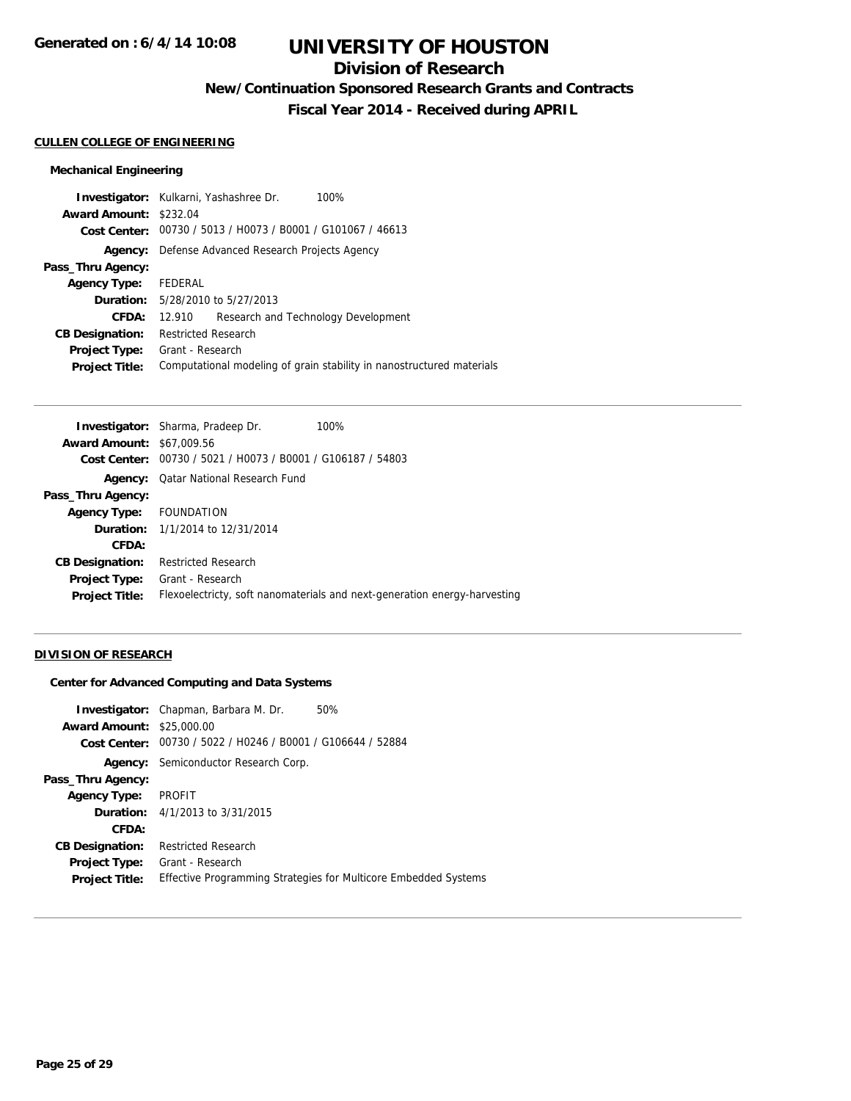## **Division of Research**

**New/Continuation Sponsored Research Grants and Contracts**

**Fiscal Year 2014 - Received during APRIL**

#### **CULLEN COLLEGE OF ENGINEERING**

### **Mechanical Engineering**

| <b>Investigator:</b> Kulkarni, Yashashree Dr.<br>100%                 |
|-----------------------------------------------------------------------|
| Award Amount: \$232.04                                                |
| Cost Center: 00730 / 5013 / H0073 / B0001 / G101067 / 46613           |
| Defense Advanced Research Projects Agency                             |
|                                                                       |
| FEDERAL                                                               |
| <b>Duration:</b> 5/28/2010 to 5/27/2013                               |
| Research and Technology Development<br>12.910                         |
| <b>Restricted Research</b>                                            |
| Grant - Research                                                      |
| Computational modeling of grain stability in nanostructured materials |
|                                                                       |

|                                  | <b>Investigator:</b> Sharma, Pradeep Dr.       | 100%                                                                      |
|----------------------------------|------------------------------------------------|---------------------------------------------------------------------------|
| <b>Award Amount: \$67,009.56</b> |                                                |                                                                           |
| Cost Center:                     | 00730 / 5021 / H0073 / B0001 / G106187 / 54803 |                                                                           |
| Agency:                          | Qatar National Research Fund                   |                                                                           |
| Pass_Thru Agency:                |                                                |                                                                           |
| <b>Agency Type:</b>              | FOUNDATION                                     |                                                                           |
|                                  | <b>Duration:</b> 1/1/2014 to 12/31/2014        |                                                                           |
| CFDA:                            |                                                |                                                                           |
| <b>CB Designation:</b>           | <b>Restricted Research</b>                     |                                                                           |
| <b>Project Type:</b>             | Grant - Research                               |                                                                           |
| <b>Project Title:</b>            |                                                | Flexoelectricty, soft nanomaterials and next-generation energy-harvesting |
|                                  |                                                |                                                                           |

### **DIVISION OF RESEARCH**

#### **Center for Advanced Computing and Data Systems**

| <b>Award Amount: \$25,000.00</b><br>Cost Center: | <b>Investigator:</b> Chapman, Barbara M. Dr.<br>50%<br>00730 / 5022 / H0246 / B0001 / G106644 / 52884 |
|--------------------------------------------------|-------------------------------------------------------------------------------------------------------|
|                                                  | <b>Agency:</b> Semiconductor Research Corp.                                                           |
| Pass_Thru Agency:                                |                                                                                                       |
| <b>Agency Type:</b>                              | <b>PROFIT</b>                                                                                         |
|                                                  | <b>Duration:</b> $4/1/2013$ to $3/31/2015$                                                            |
| CFDA:                                            |                                                                                                       |
| <b>CB Designation:</b>                           | <b>Restricted Research</b>                                                                            |
| Project Type:                                    | Grant - Research                                                                                      |
| <b>Project Title:</b>                            | <b>Effective Programming Strategies for Multicore Embedded Systems</b>                                |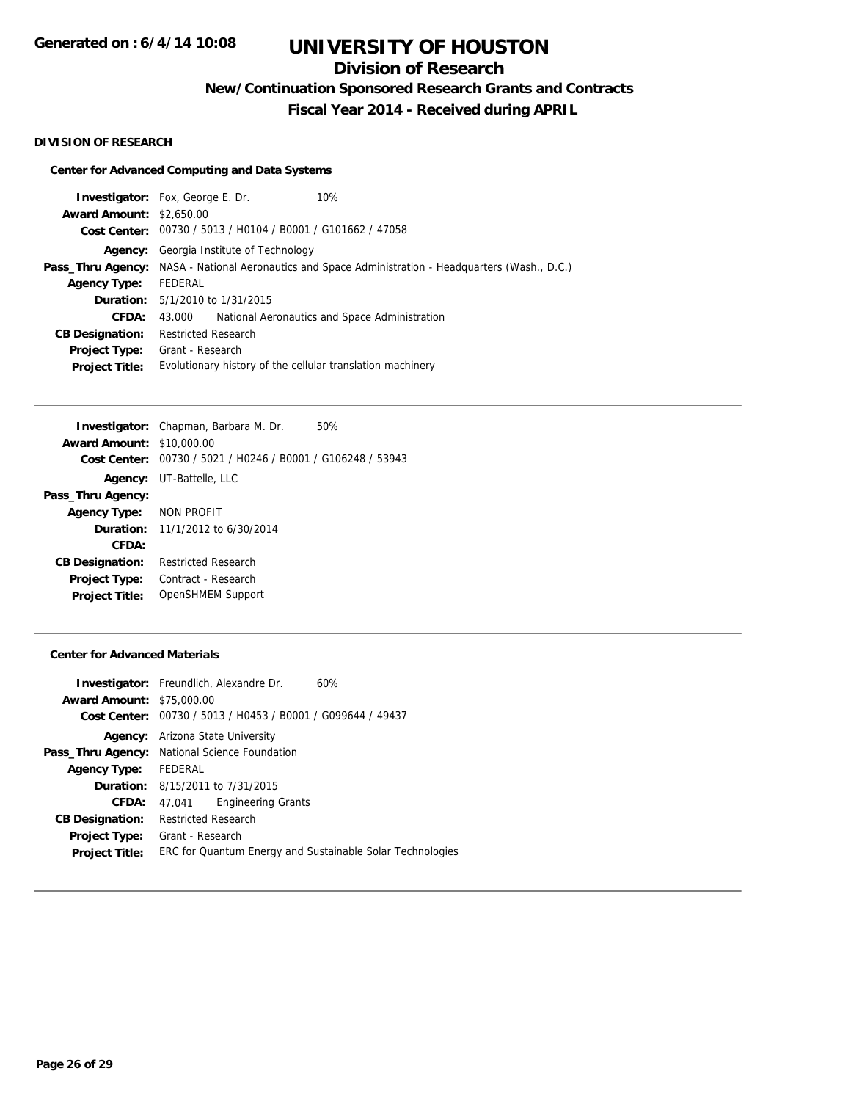## **Division of Research**

**New/Continuation Sponsored Research Grants and Contracts**

**Fiscal Year 2014 - Received during APRIL**

#### **DIVISION OF RESEARCH**

### **Center for Advanced Computing and Data Systems**

|                                 | 10%<br><b>Investigator:</b> Fox, George E. Dr.                                    |
|---------------------------------|-----------------------------------------------------------------------------------|
| <b>Award Amount: \$2,650.00</b> |                                                                                   |
|                                 | Cost Center: 00730 / 5013 / H0104 / B0001 / G101662 / 47058                       |
| Agency:                         | Georgia Institute of Technology                                                   |
| Pass_Thru Agency:               | NASA - National Aeronautics and Space Administration - Headquarters (Wash., D.C.) |
| <b>Agency Type:</b>             | FEDERAL                                                                           |
|                                 | <b>Duration:</b> 5/1/2010 to 1/31/2015                                            |
| <b>CFDA:</b>                    | National Aeronautics and Space Administration<br>43.000                           |
| <b>CB Designation:</b>          | <b>Restricted Research</b>                                                        |
| <b>Project Type:</b>            | Grant - Research                                                                  |
| <b>Project Title:</b>           | Evolutionary history of the cellular translation machinery                        |
|                                 |                                                                                   |

|                                  | <b>Investigator:</b> Chapman, Barbara M. Dr.<br>50%         |
|----------------------------------|-------------------------------------------------------------|
| <b>Award Amount: \$10,000.00</b> |                                                             |
|                                  | Cost Center: 00730 / 5021 / H0246 / B0001 / G106248 / 53943 |
|                                  | <b>Agency:</b> UT-Battelle, LLC                             |
| Pass_Thru Agency:                |                                                             |
| Agency Type: NON PROFIT          |                                                             |
|                                  | <b>Duration:</b> 11/1/2012 to 6/30/2014                     |
| CFDA:                            |                                                             |
| <b>CB Designation:</b>           | Restricted Research                                         |
| <b>Project Type:</b>             | Contract - Research                                         |
| <b>Project Title:</b>            | OpenSHMEM Support                                           |
|                                  |                                                             |

#### **Center for Advanced Materials**

|                                  | <b>Investigator:</b> Freundlich, Alexandre Dr.              | 60% |
|----------------------------------|-------------------------------------------------------------|-----|
| <b>Award Amount: \$75,000.00</b> |                                                             |     |
|                                  | Cost Center: 00730 / 5013 / H0453 / B0001 / G099644 / 49437 |     |
|                                  | <b>Agency:</b> Arizona State University                     |     |
|                                  | Pass_Thru Agency: National Science Foundation               |     |
| Agency Type: FEDERAL             |                                                             |     |
|                                  | <b>Duration:</b> 8/15/2011 to 7/31/2015                     |     |
| <b>CFDA:</b>                     | <b>Engineering Grants</b><br>47.041                         |     |
| <b>CB Designation:</b>           | <b>Restricted Research</b>                                  |     |
| <b>Project Type:</b>             | Grant - Research                                            |     |
| <b>Project Title:</b>            | ERC for Quantum Energy and Sustainable Solar Technologies   |     |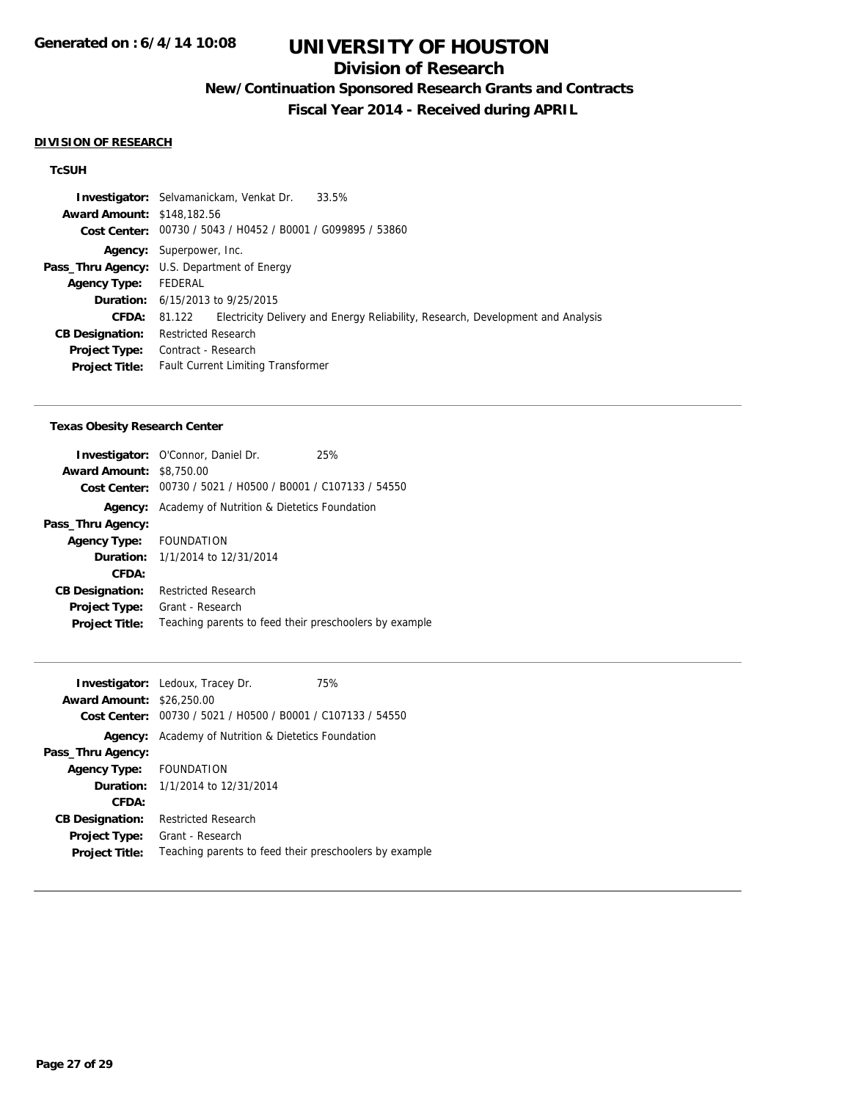## **Division of Research**

# **New/Continuation Sponsored Research Grants and Contracts**

**Fiscal Year 2014 - Received during APRIL**

#### **DIVISION OF RESEARCH**

### **TcSUH**

|                                   | 33.5%<br><b>Investigator:</b> Selvamanickam, Venkat Dr.                                   |
|-----------------------------------|-------------------------------------------------------------------------------------------|
| <b>Award Amount: \$148,182.56</b> |                                                                                           |
|                                   | Cost Center: 00730 / 5043 / H0452 / B0001 / G099895 / 53860                               |
|                                   | Agency: Superpower, Inc.                                                                  |
|                                   | <b>Pass_Thru Agency:</b> U.S. Department of Energy                                        |
| <b>Agency Type:</b>               | FEDERAL                                                                                   |
|                                   | <b>Duration:</b> 6/15/2013 to 9/25/2015                                                   |
| CFDA:                             | Electricity Delivery and Energy Reliability, Research, Development and Analysis<br>81.122 |
| <b>CB Designation:</b>            | <b>Restricted Research</b>                                                                |
| <b>Project Type:</b>              | Contract - Research                                                                       |
| <b>Project Title:</b>             | <b>Fault Current Limiting Transformer</b>                                                 |
|                                   |                                                                                           |

#### **Texas Obesity Research Center**

| <b>Investigator:</b> O'Connor, Daniel Dr.<br>25%            |
|-------------------------------------------------------------|
| <b>Award Amount: \$8,750.00</b>                             |
| Cost Center: 00730 / 5021 / H0500 / B0001 / C107133 / 54550 |
| Academy of Nutrition & Dietetics Foundation                 |
|                                                             |
| Agency Type: FOUNDATION                                     |
| <b>Duration:</b> 1/1/2014 to 12/31/2014                     |
|                                                             |
| <b>Restricted Research</b>                                  |
| Grant - Research                                            |
| Teaching parents to feed their preschoolers by example      |
|                                                             |

|                                  | 75%<br><b>Investigator:</b> Ledoux, Tracey Dr.              |
|----------------------------------|-------------------------------------------------------------|
| <b>Award Amount: \$26,250.00</b> |                                                             |
|                                  | Cost Center: 00730 / 5021 / H0500 / B0001 / C107133 / 54550 |
| Agency:                          | Academy of Nutrition & Dietetics Foundation                 |
| Pass_Thru Agency:                |                                                             |
| Agency Type: FOUNDATION          |                                                             |
|                                  | <b>Duration:</b> 1/1/2014 to 12/31/2014                     |
| CFDA:                            |                                                             |
| <b>CB Designation:</b>           | <b>Restricted Research</b>                                  |
| <b>Project Type:</b>             | Grant - Research                                            |
| <b>Project Title:</b>            | Teaching parents to feed their preschoolers by example      |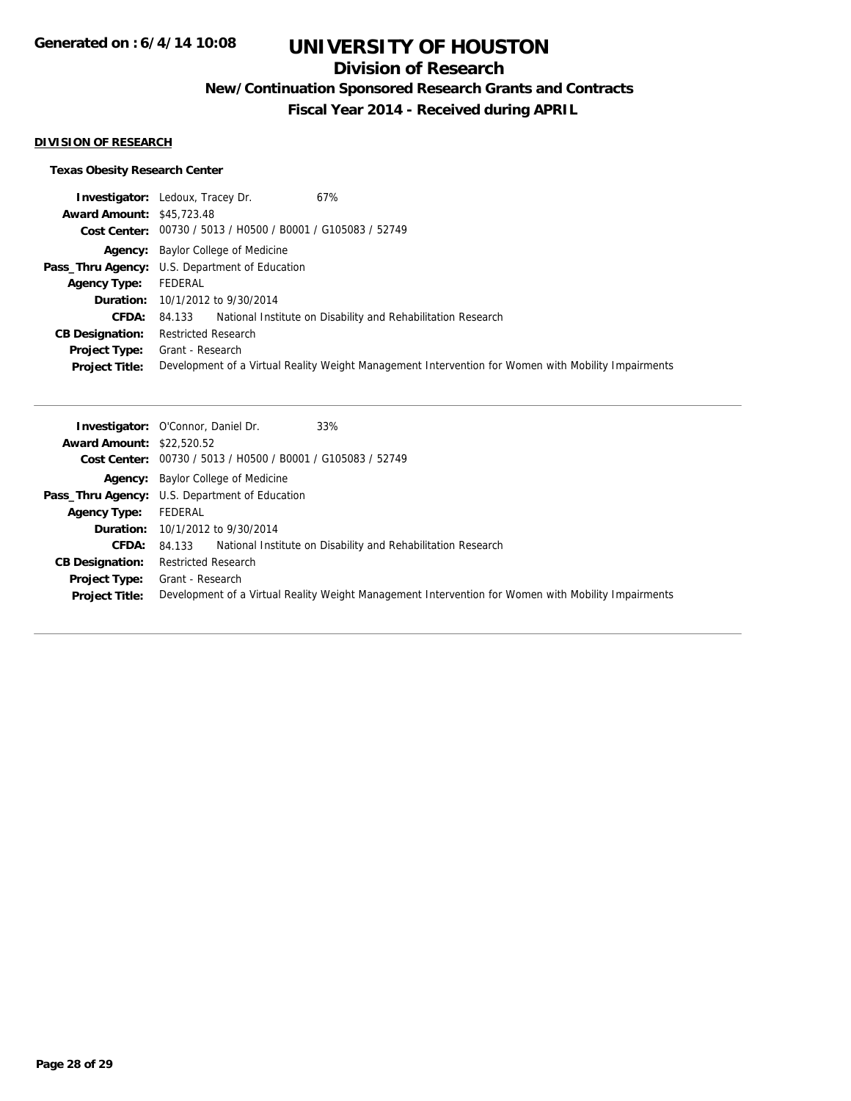## **Division of Research**

**New/Continuation Sponsored Research Grants and Contracts**

**Fiscal Year 2014 - Received during APRIL**

#### **DIVISION OF RESEARCH**

### **Texas Obesity Research Center**

|                                  | 67%<br><b>Investigator:</b> Ledoux, Tracey Dr.                                                      |
|----------------------------------|-----------------------------------------------------------------------------------------------------|
| <b>Award Amount: \$45,723.48</b> |                                                                                                     |
|                                  | Cost Center: 00730 / 5013 / H0500 / B0001 / G105083 / 52749                                         |
|                                  | <b>Agency:</b> Baylor College of Medicine                                                           |
|                                  | Pass_Thru Agency: U.S. Department of Education                                                      |
| <b>Agency Type:</b>              | FEDERAL                                                                                             |
|                                  | <b>Duration:</b> 10/1/2012 to 9/30/2014                                                             |
| <b>CFDA:</b>                     | 84.133 National Institute on Disability and Rehabilitation Research                                 |
| <b>CB Designation:</b>           | <b>Restricted Research</b>                                                                          |
| <b>Project Type:</b>             | Grant - Research                                                                                    |
| <b>Project Title:</b>            | Development of a Virtual Reality Weight Management Intervention for Women with Mobility Impairments |

|                                  | 33%<br><b>Investigator: O'Connor, Daniel Dr.</b>                                                    |
|----------------------------------|-----------------------------------------------------------------------------------------------------|
| <b>Award Amount: \$22,520.52</b> |                                                                                                     |
|                                  | Cost Center: 00730 / 5013 / H0500 / B0001 / G105083 / 52749                                         |
|                                  | <b>Agency:</b> Baylor College of Medicine                                                           |
|                                  | <b>Pass_Thru Agency:</b> U.S. Department of Education                                               |
| <b>Agency Type:</b>              | FEDERAL                                                                                             |
|                                  | <b>Duration:</b> 10/1/2012 to 9/30/2014                                                             |
| <b>CFDA:</b>                     | National Institute on Disability and Rehabilitation Research<br>84.133                              |
| <b>CB Designation:</b>           | <b>Restricted Research</b>                                                                          |
| <b>Project Type:</b>             | Grant - Research                                                                                    |
| <b>Project Title:</b>            | Development of a Virtual Reality Weight Management Intervention for Women with Mobility Impairments |